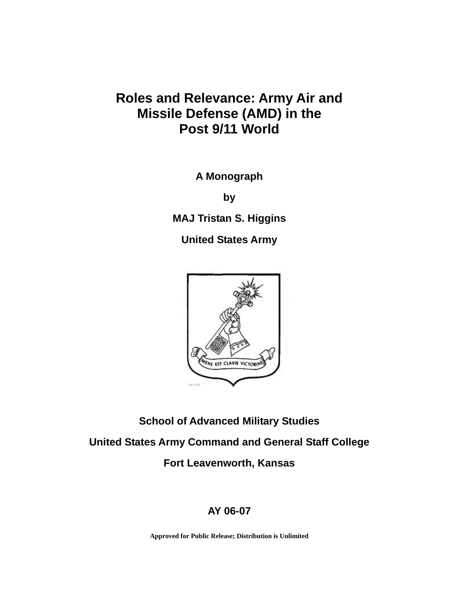# **Roles and Relevance: Army Air and Missile Defense (AMD) in the Post 9/11 World**

**A Monograph** 

**by** 

**MAJ Tristan S. Higgins** 

**United States Army** 



**School of Advanced Military Studies United States Army Command and General Staff College Fort Leavenworth, Kansas** 

# **AY 06-07**

**Approved for Public Release; Distribution is Unlimited**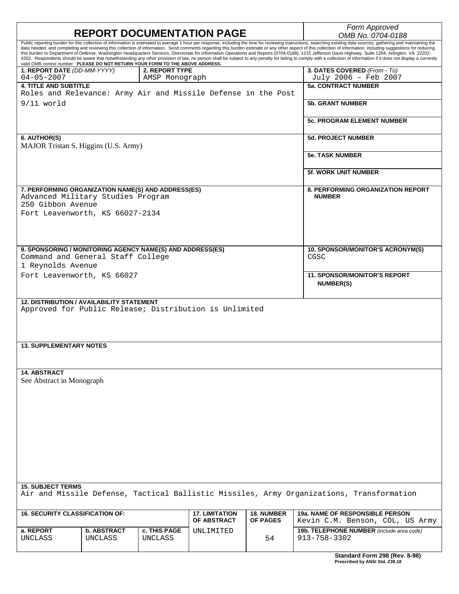|                                                                                                                                                                                                                                                           |                               |                                  |                                      |                                          | Form Approved                                                                                                                                                                                                                                                                                                                                                                                                                                                                                                                                                                                                                                        |  |
|-----------------------------------------------------------------------------------------------------------------------------------------------------------------------------------------------------------------------------------------------------------|-------------------------------|----------------------------------|--------------------------------------|------------------------------------------|------------------------------------------------------------------------------------------------------------------------------------------------------------------------------------------------------------------------------------------------------------------------------------------------------------------------------------------------------------------------------------------------------------------------------------------------------------------------------------------------------------------------------------------------------------------------------------------------------------------------------------------------------|--|
| <b>REPORT DOCUMENTATION PAGE</b><br>Public reporting burden for this collection of information is estimated to average 1 hour per response, including the time for reviewing instructions, searching existing data sources, gathering and maintaining the |                               |                                  |                                      |                                          | OMB No. 0704-0188                                                                                                                                                                                                                                                                                                                                                                                                                                                                                                                                                                                                                                    |  |
| valid OMB control number. PLEASE DO NOT RETURN YOUR FORM TO THE ABOVE ADDRESS.                                                                                                                                                                            |                               |                                  |                                      |                                          | data needed, and completing and reviewing this collection of information. Send comments regarding this burden estimate or any other aspect of this collection of information, including suggestions for reducing<br>this burden to Department of Defense, Washington Headquarters Services, Directorate for Information Operations and Reports (0704-0188), 1215 Jefferson Davis Highway, Suite 1204, Arlington, VA 22202-<br>4302. Respondents should be aware that notwithstanding any other provision of law, no person shall be subject to any penalty for failing to comply with a collection of information if it does not display a currently |  |
| 1. REPORT DATE (DD-MM-YYYY)<br>$04 - 05 - 2007$                                                                                                                                                                                                           |                               | 2. REPORT TYPE<br>AMSP Monograph |                                      |                                          | 3. DATES COVERED (From - To)<br>July 2006 - Feb 2007                                                                                                                                                                                                                                                                                                                                                                                                                                                                                                                                                                                                 |  |
| <b>4. TITLE AND SUBTITLE</b><br>Roles and Relevance: Army Air and Missile Defense in the Post                                                                                                                                                             |                               |                                  |                                      |                                          | <b>5a. CONTRACT NUMBER</b>                                                                                                                                                                                                                                                                                                                                                                                                                                                                                                                                                                                                                           |  |
| 9/11 world                                                                                                                                                                                                                                                |                               |                                  |                                      | <b>5b. GRANT NUMBER</b>                  |                                                                                                                                                                                                                                                                                                                                                                                                                                                                                                                                                                                                                                                      |  |
|                                                                                                                                                                                                                                                           |                               |                                  |                                      |                                          | <b>5c. PROGRAM ELEMENT NUMBER</b>                                                                                                                                                                                                                                                                                                                                                                                                                                                                                                                                                                                                                    |  |
| 6. AUTHOR(S)<br>MAJOR Tristan S. Higgins (U.S. Army)                                                                                                                                                                                                      |                               |                                  |                                      |                                          | <b>5d. PROJECT NUMBER</b>                                                                                                                                                                                                                                                                                                                                                                                                                                                                                                                                                                                                                            |  |
|                                                                                                                                                                                                                                                           |                               |                                  |                                      |                                          | <b>5e. TASK NUMBER</b>                                                                                                                                                                                                                                                                                                                                                                                                                                                                                                                                                                                                                               |  |
|                                                                                                                                                                                                                                                           |                               |                                  |                                      |                                          | <b>5f. WORK UNIT NUMBER</b>                                                                                                                                                                                                                                                                                                                                                                                                                                                                                                                                                                                                                          |  |
| 7. PERFORMING ORGANIZATION NAME(S) AND ADDRESS(ES)<br>Advanced Military Studies Program<br>250 Gibbon Avenue                                                                                                                                              |                               |                                  |                                      |                                          | <b>8. PERFORMING ORGANIZATION REPORT</b><br><b>NUMBER</b>                                                                                                                                                                                                                                                                                                                                                                                                                                                                                                                                                                                            |  |
| Fort Leavenworth, KS 66027-2134                                                                                                                                                                                                                           |                               |                                  |                                      |                                          |                                                                                                                                                                                                                                                                                                                                                                                                                                                                                                                                                                                                                                                      |  |
| 9. SPONSORING / MONITORING AGENCY NAME(S) AND ADDRESS(ES)<br>Command and General Staff College                                                                                                                                                            |                               |                                  |                                      | 10. SPONSOR/MONITOR'S ACRONYM(S)<br>CGSC |                                                                                                                                                                                                                                                                                                                                                                                                                                                                                                                                                                                                                                                      |  |
| 1 Reynolds Avenue                                                                                                                                                                                                                                         |                               |                                  |                                      |                                          |                                                                                                                                                                                                                                                                                                                                                                                                                                                                                                                                                                                                                                                      |  |
| Fort Leavenworth, KS 66027                                                                                                                                                                                                                                |                               |                                  |                                      |                                          | <b>11. SPONSOR/MONITOR'S REPORT</b><br><b>NUMBER(S)</b>                                                                                                                                                                                                                                                                                                                                                                                                                                                                                                                                                                                              |  |
| <b>12. DISTRIBUTION / AVAILABILITY STATEMENT</b><br>Approved for Public Release; Distribution is Unlimited                                                                                                                                                |                               |                                  |                                      |                                          |                                                                                                                                                                                                                                                                                                                                                                                                                                                                                                                                                                                                                                                      |  |
| <b>13. SUPPLEMENTARY NOTES</b>                                                                                                                                                                                                                            |                               |                                  |                                      |                                          |                                                                                                                                                                                                                                                                                                                                                                                                                                                                                                                                                                                                                                                      |  |
| <b>14. ABSTRACT</b><br>See Abstract in Monograph                                                                                                                                                                                                          |                               |                                  |                                      |                                          |                                                                                                                                                                                                                                                                                                                                                                                                                                                                                                                                                                                                                                                      |  |
|                                                                                                                                                                                                                                                           |                               |                                  |                                      |                                          |                                                                                                                                                                                                                                                                                                                                                                                                                                                                                                                                                                                                                                                      |  |
|                                                                                                                                                                                                                                                           |                               |                                  |                                      |                                          |                                                                                                                                                                                                                                                                                                                                                                                                                                                                                                                                                                                                                                                      |  |
|                                                                                                                                                                                                                                                           |                               |                                  |                                      |                                          |                                                                                                                                                                                                                                                                                                                                                                                                                                                                                                                                                                                                                                                      |  |
| <b>15. SUBJECT TERMS</b>                                                                                                                                                                                                                                  |                               |                                  |                                      |                                          |                                                                                                                                                                                                                                                                                                                                                                                                                                                                                                                                                                                                                                                      |  |
| Air and Missile Defense, Tactical Ballistic Missiles, Army Organizations, Transformation                                                                                                                                                                  |                               |                                  |                                      |                                          |                                                                                                                                                                                                                                                                                                                                                                                                                                                                                                                                                                                                                                                      |  |
| <b>16. SECURITY CLASSIFICATION OF:</b>                                                                                                                                                                                                                    |                               |                                  | <b>17. LIMITATION</b><br>OF ABSTRACT | <b>18. NUMBER</b><br><b>OF PAGES</b>     | <b>19a. NAME OF RESPONSIBLE PERSON</b><br>Kevin C.M. Benson, COL, US Army                                                                                                                                                                                                                                                                                                                                                                                                                                                                                                                                                                            |  |
| a. REPORT<br>UNCLASS                                                                                                                                                                                                                                      | <b>b. ABSTRACT</b><br>UNCLASS | c. THIS PAGE<br><b>UNCLASS</b>   | UNLIMITED                            | 54                                       | 19b. TELEPHONE NUMBER (include area code)<br>913-758-3302                                                                                                                                                                                                                                                                                                                                                                                                                                                                                                                                                                                            |  |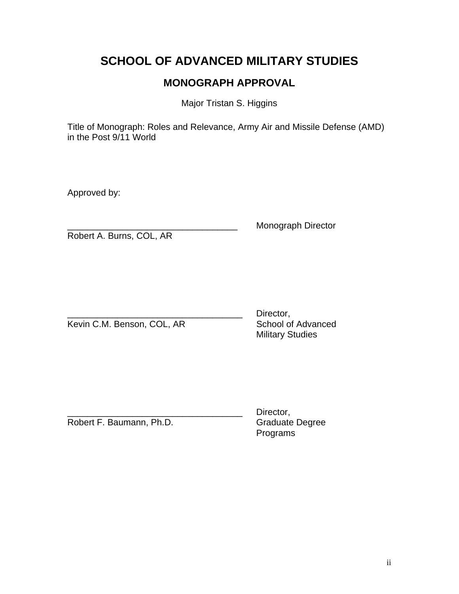# **SCHOOL OF ADVANCED MILITARY STUDIES**

# **MONOGRAPH APPROVAL**

Major Tristan S. Higgins

Title of Monograph: Roles and Relevance, Army Air and Missile Defense (AMD) in the Post 9/11 World

Approved by:

Robert A. Burns, COL, AR

Monograph Director

Kevin C.M. Benson, COL, AR School of Advanced

Director, Military Studies

Robert F. Baumann, Ph.D.

Director,<br>Graduate Degree Programs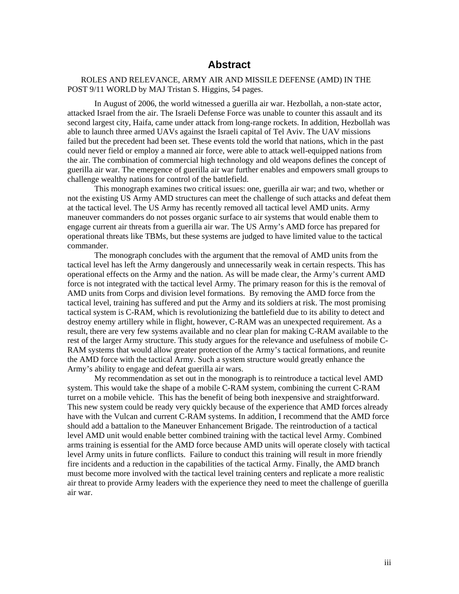## **Abstract**

#### ROLES AND RELEVANCE, ARMY AIR AND MISSILE DEFENSE (AMD) IN THE POST 9/11 WORLD by MAJ Tristan S. Higgins, 54 pages.

In August of 2006, the world witnessed a guerilla air war. Hezbollah, a non-state actor, attacked Israel from the air. The Israeli Defense Force was unable to counter this assault and its second largest city, Haifa, came under attack from long-range rockets. In addition, Hezbollah was able to launch three armed UAVs against the Israeli capital of Tel Aviv. The UAV missions failed but the precedent had been set. These events told the world that nations, which in the past could never field or employ a manned air force, were able to attack well-equipped nations from the air. The combination of commercial high technology and old weapons defines the concept of guerilla air war. The emergence of guerilla air war further enables and empowers small groups to challenge wealthy nations for control of the battlefield.

This monograph examines two critical issues: one, guerilla air war; and two, whether or not the existing US Army AMD structures can meet the challenge of such attacks and defeat them at the tactical level. The US Army has recently removed all tactical level AMD units. Army maneuver commanders do not posses organic surface to air systems that would enable them to engage current air threats from a guerilla air war. The US Army's AMD force has prepared for operational threats like TBMs, but these systems are judged to have limited value to the tactical commander.

The monograph concludes with the argument that the removal of AMD units from the tactical level has left the Army dangerously and unnecessarily weak in certain respects. This has operational effects on the Army and the nation. As will be made clear, the Army's current AMD force is not integrated with the tactical level Army. The primary reason for this is the removal of AMD units from Corps and division level formations. By removing the AMD force from the tactical level, training has suffered and put the Army and its soldiers at risk. The most promising tactical system is C-RAM, which is revolutionizing the battlefield due to its ability to detect and destroy enemy artillery while in flight, however, C-RAM was an unexpected requirement. As a result, there are very few systems available and no clear plan for making C-RAM available to the rest of the larger Army structure. This study argues for the relevance and usefulness of mobile C-RAM systems that would allow greater protection of the Army's tactical formations, and reunite the AMD force with the tactical Army. Such a system structure would greatly enhance the Army's ability to engage and defeat guerilla air wars.

My recommendation as set out in the monograph is to reintroduce a tactical level AMD system. This would take the shape of a mobile C-RAM system, combining the current C-RAM turret on a mobile vehicle. This has the benefit of being both inexpensive and straightforward. This new system could be ready very quickly because of the experience that AMD forces already have with the Vulcan and current C-RAM systems. In addition, I recommend that the AMD force should add a battalion to the Maneuver Enhancement Brigade. The reintroduction of a tactical level AMD unit would enable better combined training with the tactical level Army. Combined arms training is essential for the AMD force because AMD units will operate closely with tactical level Army units in future conflicts. Failure to conduct this training will result in more friendly fire incidents and a reduction in the capabilities of the tactical Army. Finally, the AMD branch must become more involved with the tactical level training centers and replicate a more realistic air threat to provide Army leaders with the experience they need to meet the challenge of guerilla air war.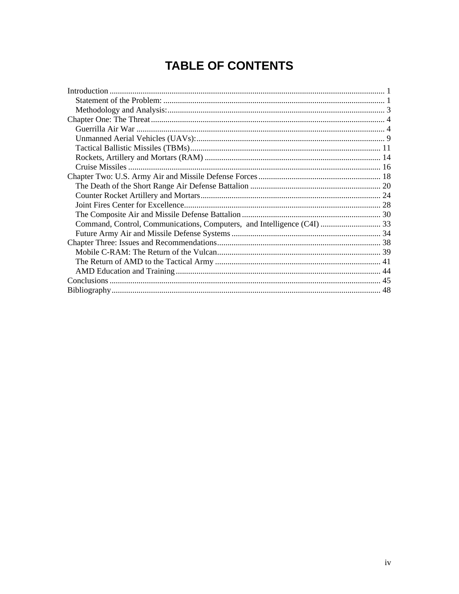# **TABLE OF CONTENTS**

| Command, Control, Communications, Computers, and Intelligence (C4I)  33 |  |
|-------------------------------------------------------------------------|--|
|                                                                         |  |
|                                                                         |  |
|                                                                         |  |
|                                                                         |  |
|                                                                         |  |
|                                                                         |  |
|                                                                         |  |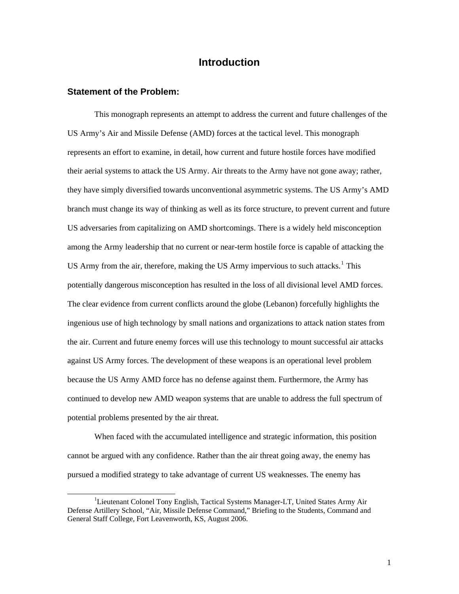## **Introduction**

#### <span id="page-5-0"></span>**Statement of the Problem:**

This monograph represents an attempt to address the current and future challenges of the US Army's Air and Missile Defense (AMD) forces at the tactical level. This monograph represents an effort to examine, in detail, how current and future hostile forces have modified their aerial systems to attack the US Army. Air threats to the Army have not gone away; rather, they have simply diversified towards unconventional asymmetric systems. The US Army's AMD branch must change its way of thinking as well as its force structure, to prevent current and future US adversaries from capitalizing on AMD shortcomings. There is a widely held misconception among the Army leadership that no current or near-term hostile force is capable of attacking the US Army from the air, therefore, making the US Army impervious to such attacks.<sup>[1](#page-5-1)</sup> This potentially dangerous misconception has resulted in the loss of all divisional level AMD forces. The clear evidence from current conflicts around the globe (Lebanon) forcefully highlights the ingenious use of high technology by small nations and organizations to attack nation states from the air. Current and future enemy forces will use this technology to mount successful air attacks against US Army forces. The development of these weapons is an operational level problem because the US Army AMD force has no defense against them. Furthermore, the Army has continued to develop new AMD weapon systems that are unable to address the full spectrum of potential problems presented by the air threat.

When faced with the accumulated intelligence and strategic information, this position cannot be argued with any confidence. Rather than the air threat going away, the enemy has pursued a modified strategy to take advantage of current US weaknesses. The enemy has

<span id="page-5-1"></span><sup>&</sup>lt;u>1</u> <sup>1</sup>Lieutenant Colonel Tony English, Tactical Systems Manager-LT, United States Army Air Defense Artillery School, "Air, Missile Defense Command," Briefing to the Students, Command and General Staff College, Fort Leavenworth, KS, August 2006.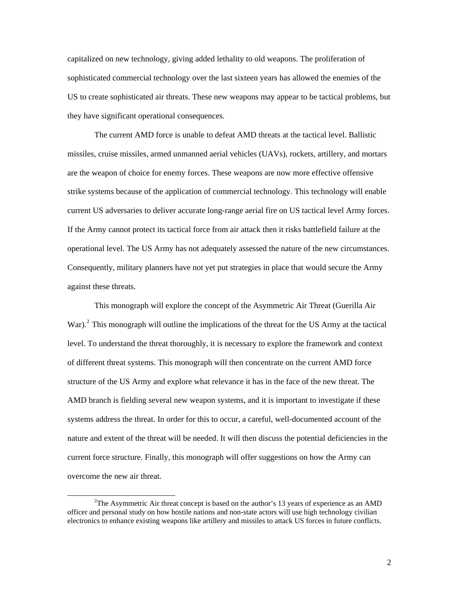capitalized on new technology, giving added lethality to old weapons. The proliferation of sophisticated commercial technology over the last sixteen years has allowed the enemies of the US to create sophisticated air threats. These new weapons may appear to be tactical problems, but they have significant operational consequences.

The current AMD force is unable to defeat AMD threats at the tactical level. Ballistic missiles, cruise missiles, armed unmanned aerial vehicles (UAVs), rockets, artillery, and mortars are the weapon of choice for enemy forces. These weapons are now more effective offensive strike systems because of the application of commercial technology. This technology will enable current US adversaries to deliver accurate long-range aerial fire on US tactical level Army forces. If the Army cannot protect its tactical force from air attack then it risks battlefield failure at the operational level. The US Army has not adequately assessed the nature of the new circumstances. Consequently, military planners have not yet put strategies in place that would secure the Army against these threats.

This monograph will explore the concept of the Asymmetric Air Threat (Guerilla Air War).<sup>[2](#page-6-0)</sup> This monograph will outline the implications of the threat for the US Army at the tactical level. To understand the threat thoroughly, it is necessary to explore the framework and context of different threat systems. This monograph will then concentrate on the current AMD force structure of the US Army and explore what relevance it has in the face of the new threat. The AMD branch is fielding several new weapon systems, and it is important to investigate if these systems address the threat. In order for this to occur, a careful, well-documented account of the nature and extent of the threat will be needed. It will then discuss the potential deficiencies in the current force structure. Finally, this monograph will offer suggestions on how the Army can overcome the new air threat.

<span id="page-6-0"></span> $\overline{\phantom{a}}$ <sup>2</sup>The Asymmetric Air threat concept is based on the author's 13 years of experience as an AMD officer and personal study on how hostile nations and non-state actors will use high technology civilian electronics to enhance existing weapons like artillery and missiles to attack US forces in future conflicts.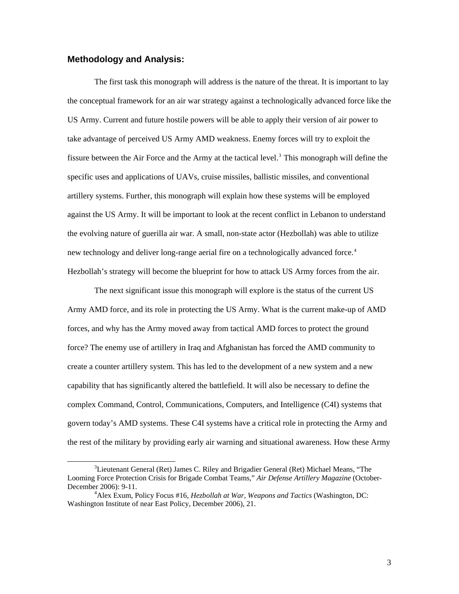### <span id="page-7-0"></span>**Methodology and Analysis:**

The first task this monograph will address is the nature of the threat. It is important to lay the conceptual framework for an air war strategy against a technologically advanced force like the US Army. Current and future hostile powers will be able to apply their version of air power to take advantage of perceived US Army AMD weakness. Enemy forces will try to exploit the fissure between the Air Force and the Army at the tactical level.<sup>[3](#page-7-1)</sup> This monograph will define the specific uses and applications of UAVs, cruise missiles, ballistic missiles, and conventional artillery systems. Further, this monograph will explain how these systems will be employed against the US Army. It will be important to look at the recent conflict in Lebanon to understand the evolving nature of guerilla air war. A small, non-state actor (Hezbollah) was able to utilize new technology and deliver long-range aerial fire on a technologically advanced force.<sup>[4](#page-7-2)</sup> Hezbollah's strategy will become the blueprint for how to attack US Army forces from the air.

The next significant issue this monograph will explore is the status of the current US Army AMD force, and its role in protecting the US Army. What is the current make-up of AMD forces, and why has the Army moved away from tactical AMD forces to protect the ground force? The enemy use of artillery in Iraq and Afghanistan has forced the AMD community to create a counter artillery system. This has led to the development of a new system and a new capability that has significantly altered the battlefield. It will also be necessary to define the complex Command, Control, Communications, Computers, and Intelligence (C4I) systems that govern today's AMD systems. These C4I systems have a critical role in protecting the Army and the rest of the military by providing early air warning and situational awareness. How these Army

<span id="page-7-1"></span> $\frac{3}{3}$  ${}^{3}$ Lieutenant General (Ret) James C. Riley and Brigadier General (Ret) Michael Means, "The Looming Force Protection Crisis for Brigade Combat Teams," *Air Defense Artillery Magazine* (October-December 2006): 9-11. 4

<span id="page-7-2"></span>Alex Exum, Policy Focus #16, *Hezbollah at War, Weapons and Tactics* (Washington, DC: Washington Institute of near East Policy, December 2006), 21.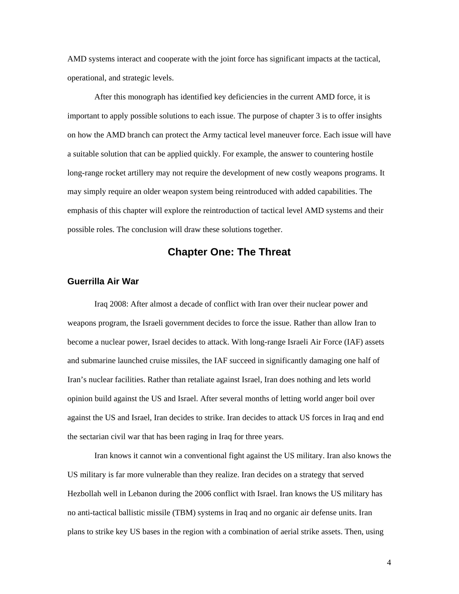<span id="page-8-0"></span>AMD systems interact and cooperate with the joint force has significant impacts at the tactical, operational, and strategic levels.

After this monograph has identified key deficiencies in the current AMD force, it is important to apply possible solutions to each issue. The purpose of chapter 3 is to offer insights on how the AMD branch can protect the Army tactical level maneuver force. Each issue will have a suitable solution that can be applied quickly. For example, the answer to countering hostile long-range rocket artillery may not require the development of new costly weapons programs. It may simply require an older weapon system being reintroduced with added capabilities. The emphasis of this chapter will explore the reintroduction of tactical level AMD systems and their possible roles. The conclusion will draw these solutions together.

## **Chapter One: The Threat**

#### **Guerrilla Air War**

Iraq 2008: After almost a decade of conflict with Iran over their nuclear power and weapons program, the Israeli government decides to force the issue. Rather than allow Iran to become a nuclear power, Israel decides to attack. With long-range Israeli Air Force (IAF) assets and submarine launched cruise missiles, the IAF succeed in significantly damaging one half of Iran's nuclear facilities. Rather than retaliate against Israel, Iran does nothing and lets world opinion build against the US and Israel. After several months of letting world anger boil over against the US and Israel, Iran decides to strike. Iran decides to attack US forces in Iraq and end the sectarian civil war that has been raging in Iraq for three years.

Iran knows it cannot win a conventional fight against the US military. Iran also knows the US military is far more vulnerable than they realize. Iran decides on a strategy that served Hezbollah well in Lebanon during the 2006 conflict with Israel. Iran knows the US military has no anti-tactical ballistic missile (TBM) systems in Iraq and no organic air defense units. Iran plans to strike key US bases in the region with a combination of aerial strike assets. Then, using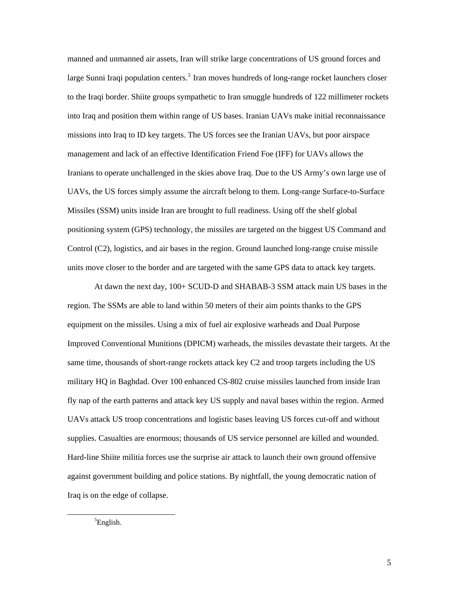manned and unmanned air assets, Iran will strike large concentrations of US ground forces and large Sunni Iraqi population centers.<sup>[5](#page-9-0)</sup> Iran moves hundreds of long-range rocket launchers closer to the Iraqi border. Shiite groups sympathetic to Iran smuggle hundreds of 122 millimeter rockets into Iraq and position them within range of US bases. Iranian UAVs make initial reconnaissance missions into Iraq to ID key targets. The US forces see the Iranian UAVs, but poor airspace management and lack of an effective Identification Friend Foe (IFF) for UAVs allows the Iranians to operate unchallenged in the skies above Iraq. Due to the US Army's own large use of UAVs, the US forces simply assume the aircraft belong to them. Long-range Surface-to-Surface Missiles (SSM) units inside Iran are brought to full readiness. Using off the shelf global positioning system (GPS) technology, the missiles are targeted on the biggest US Command and Control (C2), logistics, and air bases in the region. Ground launched long-range cruise missile units move closer to the border and are targeted with the same GPS data to attack key targets.

At dawn the next day, 100+ SCUD-D and SHABAB-3 SSM attack main US bases in the region. The SSMs are able to land within 50 meters of their aim points thanks to the GPS equipment on the missiles. Using a mix of fuel air explosive warheads and Dual Purpose Improved Conventional Munitions (DPICM) warheads, the missiles devastate their targets. At the same time, thousands of short-range rockets attack key C2 and troop targets including the US military HQ in Baghdad. Over 100 enhanced CS-802 cruise missiles launched from inside Iran fly nap of the earth patterns and attack key US supply and naval bases within the region. Armed UAVs attack US troop concentrations and logistic bases leaving US forces cut-off and without supplies. Casualties are enormous; thousands of US service personnel are killed and wounded. Hard-line Shiite militia forces use the surprise air attack to launch their own ground offensive against government building and police stations. By nightfall, the young democratic nation of Iraq is on the edge of collapse.

<span id="page-9-0"></span> $rac{1}{5}$  ${}^{5}$ English.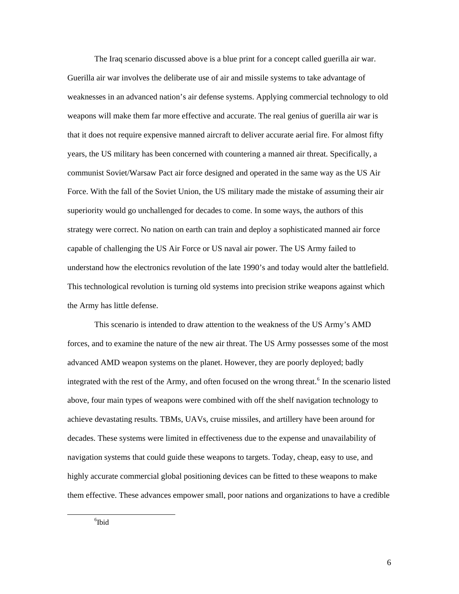The Iraq scenario discussed above is a blue print for a concept called guerilla air war. Guerilla air war involves the deliberate use of air and missile systems to take advantage of weaknesses in an advanced nation's air defense systems. Applying commercial technology to old weapons will make them far more effective and accurate. The real genius of guerilla air war is that it does not require expensive manned aircraft to deliver accurate aerial fire. For almost fifty years, the US military has been concerned with countering a manned air threat. Specifically, a communist Soviet/Warsaw Pact air force designed and operated in the same way as the US Air Force. With the fall of the Soviet Union, the US military made the mistake of assuming their air superiority would go unchallenged for decades to come. In some ways, the authors of this strategy were correct. No nation on earth can train and deploy a sophisticated manned air force capable of challenging the US Air Force or US naval air power. The US Army failed to understand how the electronics revolution of the late 1990's and today would alter the battlefield. This technological revolution is turning old systems into precision strike weapons against which the Army has little defense.

<span id="page-10-0"></span>This scenario is intended to draw attention to the weakness of the US Army's AMD forces, and to examine the nature of the new air threat. The US Army possesses some of the most advanced AMD weapon systems on the planet. However, they are poorly deployed; badly integrated with the rest of the Army, and often focused on the wrong threat.<sup>[6](#page-10-0)</sup> In the scenario listed above, four main types of weapons were combined with off the shelf navigation technology to achieve devastating results. TBMs, UAVs, cruise missiles, and artillery have been around for decades. These systems were limited in effectiveness due to the expense and unavailability of navigation systems that could guide these weapons to targets. Today, cheap, easy to use, and highly accurate commercial global positioning devices can be fitted to these weapons to make them effective. These advances empower small, poor nations and organizations to have a credible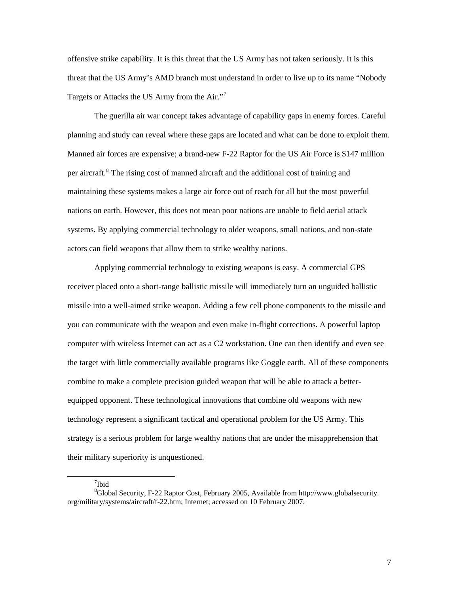offensive strike capability. It is this threat that the US Army has not taken seriously. It is this threat that the US Army's AMD branch must understand in order to live up to its name "Nobody Targets or Attacks the US Army from the Air."[7](#page-11-0)

The guerilla air war concept takes advantage of capability gaps in enemy forces. Careful planning and study can reveal where these gaps are located and what can be done to exploit them. Manned air forces are expensive; a brand-new F-22 Raptor for the US Air Force is \$147 million per aircraft.<sup>[8](#page-11-1)</sup> The rising cost of manned aircraft and the additional cost of training and maintaining these systems makes a large air force out of reach for all but the most powerful nations on earth. However, this does not mean poor nations are unable to field aerial attack systems. By applying commercial technology to older weapons, small nations, and non-state actors can field weapons that allow them to strike wealthy nations.

Applying commercial technology to existing weapons is easy. A commercial GPS receiver placed onto a short-range ballistic missile will immediately turn an unguided ballistic missile into a well-aimed strike weapon. Adding a few cell phone components to the missile and you can communicate with the weapon and even make in-flight corrections. A powerful laptop computer with wireless Internet can act as a C2 workstation. One can then identify and even see the target with little commercially available programs like Goggle earth. All of these components combine to make a complete precision guided weapon that will be able to attack a betterequipped opponent. These technological innovations that combine old weapons with new technology represent a significant tactical and operational problem for the US Army. This strategy is a serious problem for large wealthy nations that are under the misapprehension that their military superiority is unquestioned.

7 Ibid

 $\overline{a}$ 

<span id="page-11-1"></span><span id="page-11-0"></span><sup>8</sup> Global Security, F-22 Raptor Cost, February 2005, Available from http://www.globalsecurity. org/military/systems/aircraft/f-22.htm; Internet; accessed on 10 February 2007.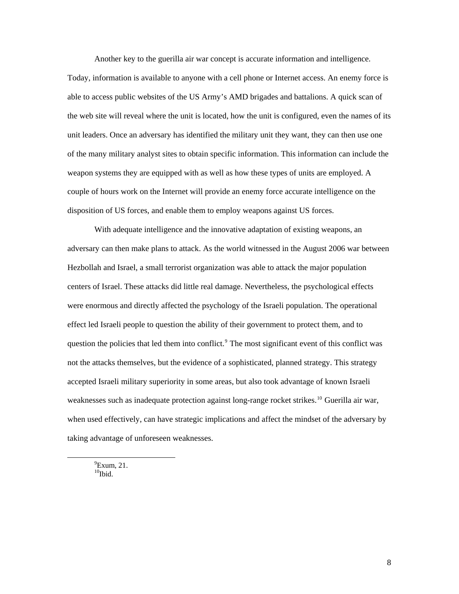Another key to the guerilla air war concept is accurate information and intelligence.

Today, information is available to anyone with a cell phone or Internet access. An enemy force is able to access public websites of the US Army's AMD brigades and battalions. A quick scan of the web site will reveal where the unit is located, how the unit is configured, even the names of its unit leaders. Once an adversary has identified the military unit they want, they can then use one of the many military analyst sites to obtain specific information. This information can include the weapon systems they are equipped with as well as how these types of units are employed. A couple of hours work on the Internet will provide an enemy force accurate intelligence on the disposition of US forces, and enable them to employ weapons against US forces.

With adequate intelligence and the innovative adaptation of existing weapons, an adversary can then make plans to attack. As the world witnessed in the August 2006 war between Hezbollah and Israel, a small terrorist organization was able to attack the major population centers of Israel. These attacks did little real damage. Nevertheless, the psychological effects were enormous and directly affected the psychology of the Israeli population. The operational effect led Israeli people to question the ability of their government to protect them, and to question the policies that led them into conflict.<sup>[9](#page-12-0)</sup> The most significant event of this conflict was not the attacks themselves, but the evidence of a sophisticated, planned strategy. This strategy accepted Israeli military superiority in some areas, but also took advantage of known Israeli weaknesses such as inadequate protection against long-range rocket strikes.<sup>[10](#page-12-1)</sup> Guerilla air war, when used effectively, can have strategic implications and affect the mindset of the adversary by taking advantage of unforeseen weaknesses.

<span id="page-12-1"></span><span id="page-12-0"></span> 9  $^9$ Exum, 21.  $10$ Ibid.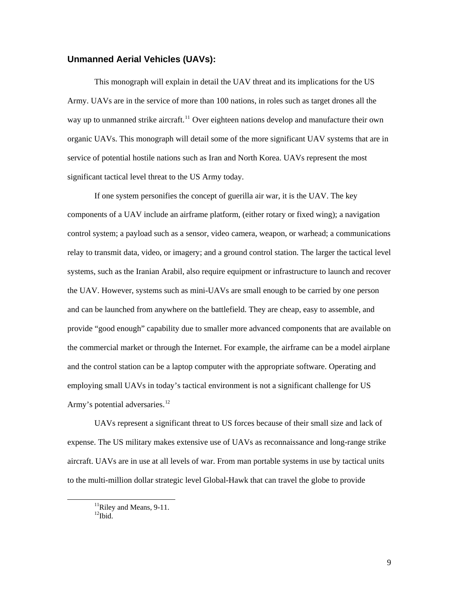#### <span id="page-13-0"></span>**Unmanned Aerial Vehicles (UAVs):**

This monograph will explain in detail the UAV threat and its implications for the US Army. UAVs are in the service of more than 100 nations, in roles such as target drones all the way up to unmanned strike aircraft.<sup>[11](#page-13-1)</sup> Over eighteen nations develop and manufacture their own organic UAVs. This monograph will detail some of the more significant UAV systems that are in service of potential hostile nations such as Iran and North Korea. UAVs represent the most significant tactical level threat to the US Army today.

If one system personifies the concept of guerilla air war, it is the UAV. The key components of a UAV include an airframe platform, (either rotary or fixed wing); a navigation control system; a payload such as a sensor, video camera, weapon, or warhead; a communications relay to transmit data, video, or imagery; and a ground control station. The larger the tactical level systems, such as the Iranian Arabil, also require equipment or infrastructure to launch and recover the UAV. However, systems such as mini-UAVs are small enough to be carried by one person and can be launched from anywhere on the battlefield. They are cheap, easy to assemble, and provide "good enough" capability due to smaller more advanced components that are available on the commercial market or through the Internet. For example, the airframe can be a model airplane and the control station can be a laptop computer with the appropriate software. Operating and employing small UAVs in today's tactical environment is not a significant challenge for US Army's potential adversaries.<sup>[12](#page-13-2)</sup>

UAVs represent a significant threat to US forces because of their small size and lack of expense. The US military makes extensive use of UAVs as reconnaissance and long-range strike aircraft. UAVs are in use at all levels of war. From man portable systems in use by tactical units to the multi-million dollar strategic level Global-Hawk that can travel the globe to provide

<span id="page-13-1"></span><sup>&</sup>lt;sup>11</sup>Riley and Means, 9-11.

<span id="page-13-2"></span> $12$ Ibid.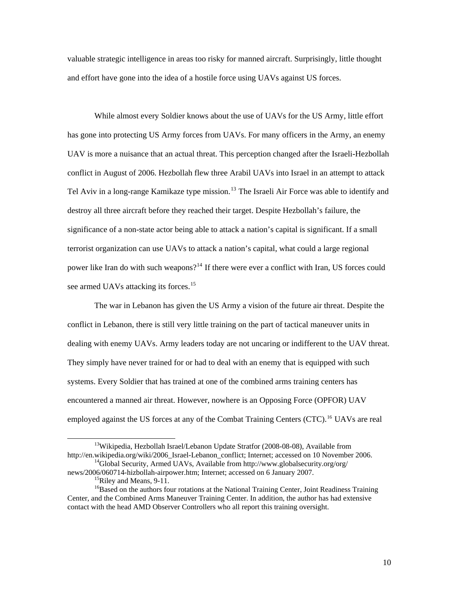valuable strategic intelligence in areas too risky for manned aircraft. Surprisingly, little thought and effort have gone into the idea of a hostile force using UAVs against US forces.

While almost every Soldier knows about the use of UAVs for the US Army, little effort has gone into protecting US Army forces from UAVs. For many officers in the Army, an enemy UAV is more a nuisance that an actual threat. This perception changed after the Israeli-Hezbollah conflict in August of 2006. Hezbollah flew three Arabil UAVs into Israel in an attempt to attack Tel Aviv in a long-range Kamikaze type mission.<sup>[13](#page-14-0)</sup> The Israeli Air Force was able to identify and destroy all three aircraft before they reached their target. Despite Hezbollah's failure, the significance of a non-state actor being able to attack a nation's capital is significant. If a small terrorist organization can use UAVs to attack a nation's capital, what could a large regional power like Iran do with such weapons?<sup>[14](#page-14-1)</sup> If there were ever a conflict with Iran, US forces could see armed UAVs attacking its forces.<sup>[15](#page-14-2)</sup>

The war in Lebanon has given the US Army a vision of the future air threat. Despite the conflict in Lebanon, there is still very little training on the part of tactical maneuver units in dealing with enemy UAVs. Army leaders today are not uncaring or indifferent to the UAV threat. They simply have never trained for or had to deal with an enemy that is equipped with such systems. Every Soldier that has trained at one of the combined arms training centers has encountered a manned air threat. However, nowhere is an Opposing Force (OPFOR) UAV employed against the US forces at any of the Combat Training Centers (CTC).<sup>[16](#page-14-3)</sup> UAVs are real

<span id="page-14-0"></span><sup>&</sup>lt;sup>13</sup>Wikipedia, Hezbollah [Israel/Lebanon Update](http://www.stratfor.com/products/premium/read_article.php?id=271892&selected=Analyses) Stratfor (2008-08-08), Available from http://en.wikipedia.org/wiki/2006\_Israel-Lebanon\_conflict; Internet; accessed on 10 November 2006.<br><sup>14</sup>Global Security, Armed UAVs, Available from http://www.globalsecurity.org/org/

<span id="page-14-1"></span>news/2006/060714-hizbollah-airpower.htm; Internet; accessed on 6 January 2007.<br><sup>15</sup>Riley and Means, 9-11.

<span id="page-14-3"></span><span id="page-14-2"></span><sup>&</sup>lt;sup>16</sup>Based on the authors four rotations at the National Training Center, Joint Readiness Training Center, and the Combined Arms Maneuver Training Center. In addition, the author has had extensive contact with the head AMD Observer Controllers who all report this training oversight.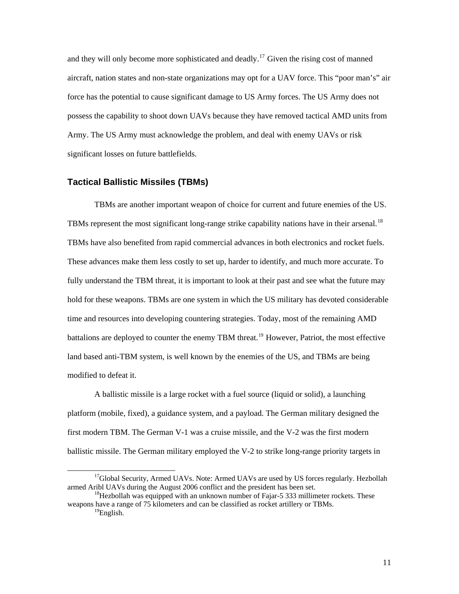<span id="page-15-0"></span>and they will only become more sophisticated and deadly.<sup>[17](#page-15-1)</sup> Given the rising cost of manned aircraft, nation states and non-state organizations may opt for a UAV force. This "poor man's" air force has the potential to cause significant damage to US Army forces. The US Army does not possess the capability to shoot down UAVs because they have removed tactical AMD units from Army. The US Army must acknowledge the problem, and deal with enemy UAVs or risk significant losses on future battlefields.

#### **Tactical Ballistic Missiles (TBMs)**

TBMs are another important weapon of choice for current and future enemies of the US. TBMs represent the most significant long-range strike capability nations have in their arsenal.<sup>[18](#page-15-2)</sup> TBMs have also benefited from rapid commercial advances in both electronics and rocket fuels. These advances make them less costly to set up, harder to identify, and much more accurate. To fully understand the TBM threat, it is important to look at their past and see what the future may hold for these weapons. TBMs are one system in which the US military has devoted considerable time and resources into developing countering strategies. Today, most of the remaining AMD battalions are deployed to counter the enemy TBM threat.<sup>[19](#page-15-3)</sup> However, Patriot, the most effective land based anti-TBM system, is well known by the enemies of the US, and TBMs are being modified to defeat it.

A ballistic missile is a large rocket with a fuel source (liquid or solid), a launching platform (mobile, fixed), a guidance system, and a payload. The German military designed the first modern TBM. The German V-1 was a cruise missile, and the V-2 was the first modern ballistic missile. The German military employed the V-2 to strike long-range priority targets in

<span id="page-15-1"></span><sup>&</sup>lt;sup>17</sup>Global Security, Armed UAVs. Note: Armed UAVs are used by US forces regularly. Hezbollah armed Aribl UAVs during the August 2006 conflict and the president has been set.

<span id="page-15-3"></span><span id="page-15-2"></span> $18$ Hezbollah was equipped with an unknown number of Fajar-5 333 millimeter rockets. These weapons have a range of 75 kilometers and can be classified as rocket artillery or TBMs. 19English.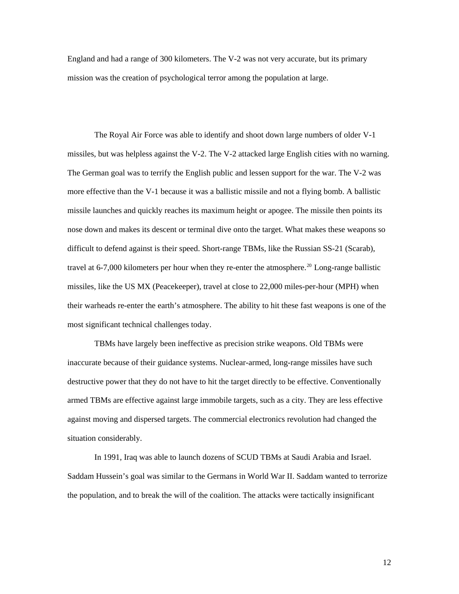England and had a range of 300 kilometers. The V-2 was not very accurate, but its primary mission was the creation of psychological terror among the population at large.

The Royal Air Force was able to identify and shoot down large numbers of older V-1 missiles, but was helpless against the V-2. The V-2 attacked large English cities with no warning. The German goal was to terrify the English public and lessen support for the war. The V-2 was more effective than the V-1 because it was a ballistic missile and not a flying bomb. A ballistic missile launches and quickly reaches its maximum height or apogee. The missile then points its nose down and makes its descent or terminal dive onto the target. What makes these weapons so difficult to defend against is their speed. Short-range TBMs, like the Russian SS-21 (Scarab), travel at 6-7,000 kilometers per hour when they re-enter the atmosphere.<sup>[20](#page-16-0)</sup> Long-range ballistic missiles, like the US MX (Peacekeeper), travel at close to 22,000 miles-per-hour (MPH) when their warheads re-enter the earth's atmosphere. The ability to hit these fast weapons is one of the most significant technical challenges today.

TBMs have largely been ineffective as precision strike weapons. Old TBMs were inaccurate because of their guidance systems. Nuclear-armed, long-range missiles have such destructive power that they do not have to hit the target directly to be effective. Conventionally armed TBMs are effective against large immobile targets, such as a city. They are less effective against moving and dispersed targets. The commercial electronics revolution had changed the situation considerably.

<span id="page-16-0"></span>In 1991, Iraq was able to launch dozens of SCUD TBMs at Saudi Arabia and Israel. Saddam Hussein's goal was similar to the Germans in World War II. Saddam wanted to terrorize the population, and to break the will of the coalition. The attacks were tactically insignificant

12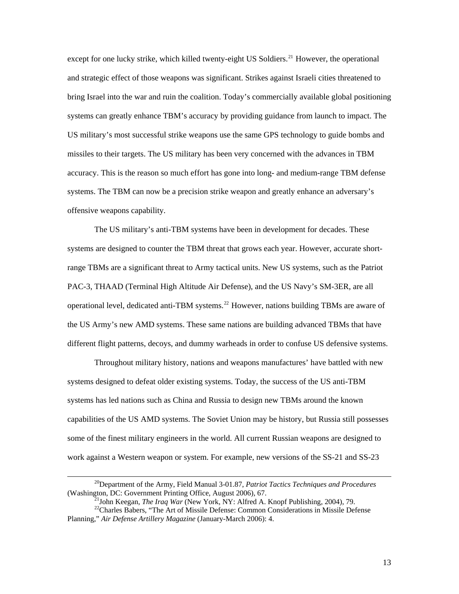<span id="page-17-0"></span>except for one lucky strike, which killed twenty-eight US Soldiers.<sup>[21](#page-17-0)</sup> However, the operational and strategic effect of those weapons was significant. Strikes against Israeli cities threatened to bring Israel into the war and ruin the coalition. Today's commercially available global positioning systems can greatly enhance TBM's accuracy by providing guidance from launch to impact. The US military's most successful strike weapons use the same GPS technology to guide bombs and missiles to their targets. The US military has been very concerned with the advances in TBM accuracy. This is the reason so much effort has gone into long- and medium-range TBM defense systems. The TBM can now be a precision strike weapon and greatly enhance an adversary's offensive weapons capability.

The US military's anti-TBM systems have been in development for decades. These systems are designed to counter the TBM threat that grows each year. However, accurate shortrange TBMs are a significant threat to Army tactical units. New US systems, such as the Patriot PAC-3, THAAD (Terminal High Altitude Air Defense), and the US Navy's SM-3ER, are all operational level, dedicated anti-TBM systems.<sup>[22](#page-17-1)</sup> However, nations building TBMs are aware of the US Army's new AMD systems. These same nations are building advanced TBMs that have different flight patterns, decoys, and dummy warheads in order to confuse US defensive systems.

Throughout military history, nations and weapons manufactures' have battled with new systems designed to defeat older existing systems. Today, the success of the US anti-TBM systems has led nations such as China and Russia to design new TBMs around the known capabilities of the US AMD systems. The Soviet Union may be history, but Russia still possesses some of the finest military engineers in the world. All current Russian weapons are designed to work against a Western weapon or system. For example, new versions of the SS-21 and SS-23

<sup>&</sup>lt;sup>20</sup>Department of the Army, Field Manual 3-01.87, *Patriot Tactics Techniques and Procedures* (Washington, DC: Government Printing Office, August 2006), 67.

<sup>&</sup>lt;sup>21</sup>John Keegan, *The Iraq War* (New York, NY: Alfred A. Knopf Publishing, 2004), 79.<br><sup>22</sup>Charles Babers, "The Art of Missile Defense: Common Considerations in Missile Defense

<span id="page-17-1"></span>Planning," *Air Defense Artillery Magazine* (January-March 2006): 4.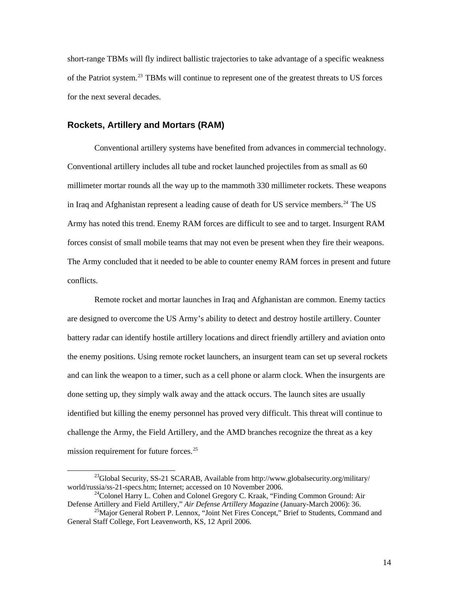<span id="page-18-0"></span>short-range TBMs will fly indirect ballistic trajectories to take advantage of a specific weakness of the Patriot system.<sup>[23](#page-18-1)</sup> TBMs will continue to represent one of the greatest threats to US forces for the next several decades.

#### **Rockets, Artillery and Mortars (RAM)**

Conventional artillery systems have benefited from advances in commercial technology. Conventional artillery includes all tube and rocket launched projectiles from as small as 60 millimeter mortar rounds all the way up to the mammoth 330 millimeter rockets. These weapons in Iraq and Afghanistan represent a leading cause of death for US service members.<sup>[24](#page-18-2)</sup> The US Army has noted this trend. Enemy RAM forces are difficult to see and to target. Insurgent RAM forces consist of small mobile teams that may not even be present when they fire their weapons. The Army concluded that it needed to be able to counter enemy RAM forces in present and future conflicts.

Remote rocket and mortar launches in Iraq and Afghanistan are common. Enemy tactics are designed to overcome the US Army's ability to detect and destroy hostile artillery. Counter battery radar can identify hostile artillery locations and direct friendly artillery and aviation onto the enemy positions. Using remote rocket launchers, an insurgent team can set up several rockets and can link the weapon to a timer, such as a cell phone or alarm clock. When the insurgents are done setting up, they simply walk away and the attack occurs. The launch sites are usually identified but killing the enemy personnel has proved very difficult. This threat will continue to challenge the Army, the Field Artillery, and the AMD branches recognize the threat as a key mission requirement for future forces. $25$ 

<span id="page-18-1"></span><sup>&</sup>lt;sup>23</sup>Global Security, SS-21 SCARAB, Available from http://www.globalsecurity.org/military/<br>world/russia/ss-21-specs.htm; Internet; accessed on 10 November 2006.

<span id="page-18-2"></span><sup>&</sup>lt;sup>24</sup>Colonel Harry L. Cohen and Colonel Gregory C. Kraak, "Finding Common Ground: Air Defense Artillery and Field Artillery," Air Defense Artillery Magazine (January-March 2006): 36.

<span id="page-18-3"></span><sup>&</sup>lt;sup>25</sup> Major General Robert P. Lennox, "Joint Net Fires Concept," Brief to Students, Command and General Staff College, Fort Leavenworth, KS, 12 April 2006.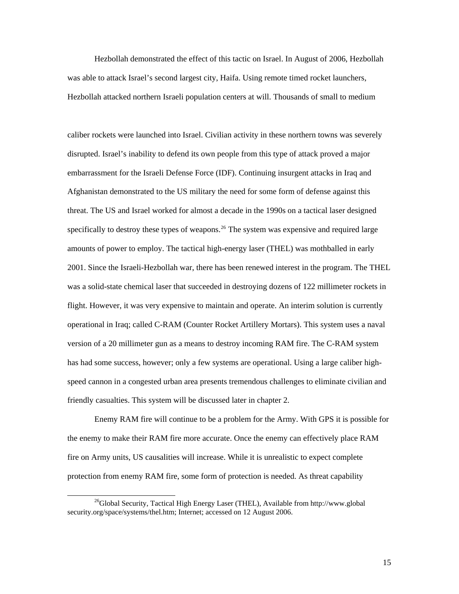Hezbollah demonstrated the effect of this tactic on Israel. In August of 2006, Hezbollah was able to attack Israel's second largest city, Haifa. Using remote timed rocket launchers, Hezbollah attacked northern Israeli population centers at will. Thousands of small to medium

caliber rockets were launched into Israel. Civilian activity in these northern towns was severely disrupted. Israel's inability to defend its own people from this type of attack proved a major embarrassment for the Israeli Defense Force (IDF). Continuing insurgent attacks in Iraq and Afghanistan demonstrated to the US military the need for some form of defense against this threat. The US and Israel worked for almost a decade in the 1990s on a tactical laser designed specifically to destroy these types of weapons.<sup>[26](#page-19-0)</sup> The system was expensive and required large amounts of power to employ. The tactical high-energy laser (THEL) was mothballed in early 2001. Since the Israeli-Hezbollah war, there has been renewed interest in the program. The THEL was a solid-state chemical laser that succeeded in destroying dozens of 122 millimeter rockets in flight. However, it was very expensive to maintain and operate. An interim solution is currently operational in Iraq; called C-RAM (Counter Rocket Artillery Mortars). This system uses a naval version of a 20 millimeter gun as a means to destroy incoming RAM fire. The C-RAM system has had some success, however; only a few systems are operational. Using a large caliber highspeed cannon in a congested urban area presents tremendous challenges to eliminate civilian and friendly casualties. This system will be discussed later in chapter 2.

Enemy RAM fire will continue to be a problem for the Army. With GPS it is possible for the enemy to make their RAM fire more accurate. Once the enemy can effectively place RAM fire on Army units, US causalities will increase. While it is unrealistic to expect complete protection from enemy RAM fire, some form of protection is needed. As threat capability

<span id="page-19-0"></span> $^{26}$ Global Security, Tactical High Energy Laser (THEL), Available from http://www.global security.org/space/systems/thel.htm; Internet; accessed on 12 August 2006.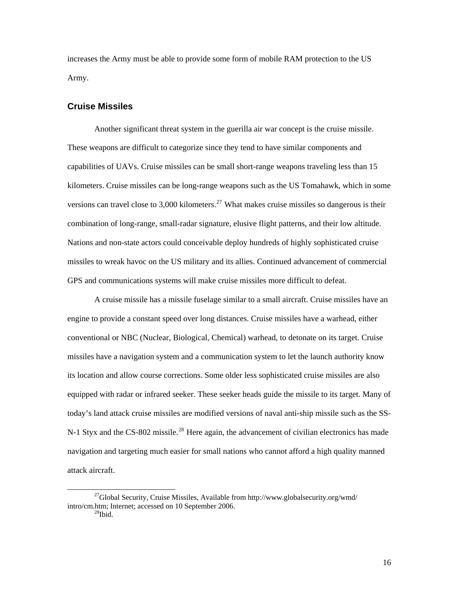<span id="page-20-0"></span>increases the Army must be able to provide some form of mobile RAM protection to the US Army.

#### **Cruise Missiles**

Another significant threat system in the guerilla air war concept is the cruise missile. These weapons are difficult to categorize since they tend to have similar components and capabilities of UAVs. Cruise missiles can be small short-range weapons traveling less than 15 kilometers. Cruise missiles can be long-range weapons such as the US Tomahawk, which in some versions can travel close to 3,000 kilometers.<sup>[27](#page-20-1)</sup> What makes cruise missiles so dangerous is their combination of long-range, small-radar signature, elusive flight patterns, and their low altitude. Nations and non-state actors could conceivable deploy hundreds of highly sophisticated cruise missiles to wreak havoc on the US military and its allies. Continued advancement of commercial GPS and communications systems will make cruise missiles more difficult to defeat.

A cruise missile has a missile fuselage similar to a small aircraft. Cruise missiles have an engine to provide a constant speed over long distances. Cruise missiles have a warhead, either conventional or NBC (Nuclear, Biological, Chemical) warhead, to detonate on its target. Cruise missiles have a navigation system and a communication system to let the launch authority know its location and allow course corrections. Some older less sophisticated cruise missiles are also equipped with radar or infrared seeker. These seeker heads guide the missile to its target. Many of today's land attack cruise missiles are modified versions of naval anti-ship missile such as the SS-N-1 Styx and the CS-802 missile.<sup>[28](#page-20-2)</sup> Here again, the advancement of civilian electronics has made navigation and targeting much easier for small nations who cannot afford a high quality manned attack aircraft.

<span id="page-20-2"></span><span id="page-20-1"></span><sup>&</sup>lt;sup>27</sup>Global Security, Cruise Missiles, Available from http://www.globalsecurity.org/wmd/ intro/cm.htm; Internet; accessed on 10 September 2006.<br> $^{28}$ Ibid.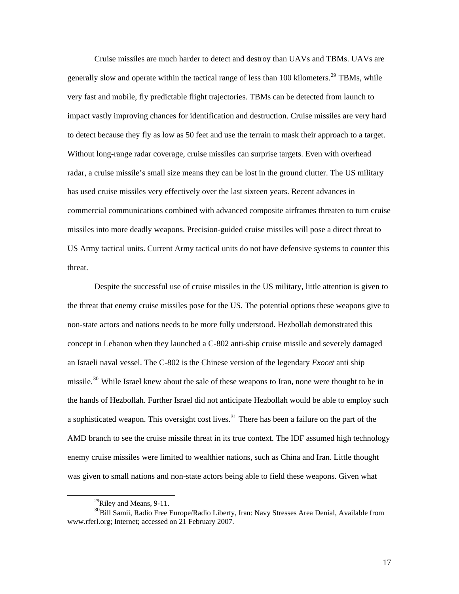Cruise missiles are much harder to detect and destroy than UAVs and TBMs. UAVs are generally slow and operate within the tactical range of less than 100 kilometers.<sup>[29](#page-21-0)</sup> TBMs, while very fast and mobile, fly predictable flight trajectories. TBMs can be detected from launch to impact vastly improving chances for identification and destruction. Cruise missiles are very hard to detect because they fly as low as 50 feet and use the terrain to mask their approach to a target. Without long-range radar coverage, cruise missiles can surprise targets. Even with overhead radar, a cruise missile's small size means they can be lost in the ground clutter. The US military has used cruise missiles very effectively over the last sixteen years. Recent advances in commercial communications combined with advanced composite airframes threaten to turn cruise missiles into more deadly weapons. Precision-guided cruise missiles will pose a direct threat to US Army tactical units. Current Army tactical units do not have defensive systems to counter this threat.

Despite the successful use of cruise missiles in the US military, little attention is given to the threat that enemy cruise missiles pose for the US. The potential options these weapons give to non-state actors and nations needs to be more fully understood. Hezbollah demonstrated this concept in Lebanon when they launched a C-802 anti-ship cruise missile and severely damaged an Israeli naval vessel. The C-802 is the Chinese version of the legendary *Exocet* anti ship missile.<sup>[30](#page-21-1)</sup> While Israel knew about the sale of these weapons to Iran, none were thought to be in the hands of Hezbollah. Further Israel did not anticipate Hezbollah would be able to employ such a sophisticated weapon. This oversight cost lives.<sup>[31](#page-21-2)</sup> There has been a failure on the part of the AMD branch to see the cruise missile threat in its true context. The IDF assumed high technology enemy cruise missiles were limited to wealthier nations, such as China and Iran. Little thought was given to small nations and non-state actors being able to field these weapons. Given what

 $^{29}$ Riley and Means, 9-11.

<span id="page-21-2"></span><span id="page-21-1"></span><span id="page-21-0"></span><sup>&</sup>lt;sup>30</sup>Bill Samii, Radio Free Europe/Radio Liberty, Iran: Navy Stresses Area Denial, Available from www.rferl.org; Internet; accessed on 21 February 2007.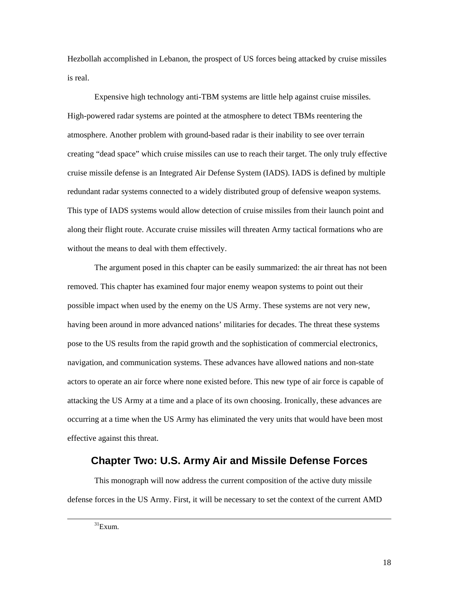<span id="page-22-0"></span>Hezbollah accomplished in Lebanon, the prospect of US forces being attacked by cruise missiles is real.

Expensive high technology anti-TBM systems are little help against cruise missiles. High-powered radar systems are pointed at the atmosphere to detect TBMs reentering the atmosphere. Another problem with ground-based radar is their inability to see over terrain creating "dead space" which cruise missiles can use to reach their target. The only truly effective cruise missile defense is an Integrated Air Defense System (IADS). IADS is defined by multiple redundant radar systems connected to a widely distributed group of defensive weapon systems. This type of IADS systems would allow detection of cruise missiles from their launch point and along their flight route. Accurate cruise missiles will threaten Army tactical formations who are without the means to deal with them effectively.

The argument posed in this chapter can be easily summarized: the air threat has not been removed. This chapter has examined four major enemy weapon systems to point out their possible impact when used by the enemy on the US Army. These systems are not very new, having been around in more advanced nations' militaries for decades. The threat these systems pose to the US results from the rapid growth and the sophistication of commercial electronics, navigation, and communication systems. These advances have allowed nations and non-state actors to operate an air force where none existed before. This new type of air force is capable of attacking the US Army at a time and a place of its own choosing. Ironically, these advances are occurring at a time when the US Army has eliminated the very units that would have been most effective against this threat.

## **Chapter Two: U.S. Army Air and Missile Defense Forces**

This monograph will now address the current composition of the active duty missile defense forces in the US Army. First, it will be necessary to set the context of the current AMD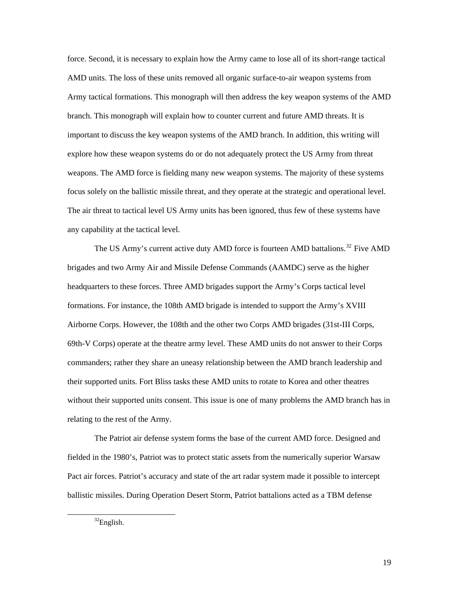force. Second, it is necessary to explain how the Army came to lose all of its short-range tactical AMD units. The loss of these units removed all organic surface-to-air weapon systems from Army tactical formations. This monograph will then address the key weapon systems of the AMD branch. This monograph will explain how to counter current and future AMD threats. It is important to discuss the key weapon systems of the AMD branch. In addition, this writing will explore how these weapon systems do or do not adequately protect the US Army from threat weapons. The AMD force is fielding many new weapon systems. The majority of these systems focus solely on the ballistic missile threat, and they operate at the strategic and operational level. The air threat to tactical level US Army units has been ignored, thus few of these systems have any capability at the tactical level.

The US Army's current active duty AMD force is fourteen AMD battalions.<sup>[32](#page-23-0)</sup> Five AMD brigades and two Army Air and Missile Defense Commands (AAMDC) serve as the higher headquarters to these forces. Three AMD brigades support the Army's Corps tactical level formations. For instance, the 108th AMD brigade is intended to support the Army's XVIII Airborne Corps. However, the 108th and the other two Corps AMD brigades (31st-III Corps, 69th-V Corps) operate at the theatre army level. These AMD units do not answer to their Corps commanders; rather they share an uneasy relationship between the AMD branch leadership and their supported units. Fort Bliss tasks these AMD units to rotate to Korea and other theatres without their supported units consent. This issue is one of many problems the AMD branch has in relating to the rest of the Army.

The Patriot air defense system forms the base of the current AMD force. Designed and fielded in the 1980's, Patriot was to protect static assets from the numerically superior Warsaw Pact air forces. Patriot's accuracy and state of the art radar system made it possible to intercept ballistic missiles. During Operation Desert Storm, Patriot battalions acted as a TBM defense

<span id="page-23-0"></span> $32$ English.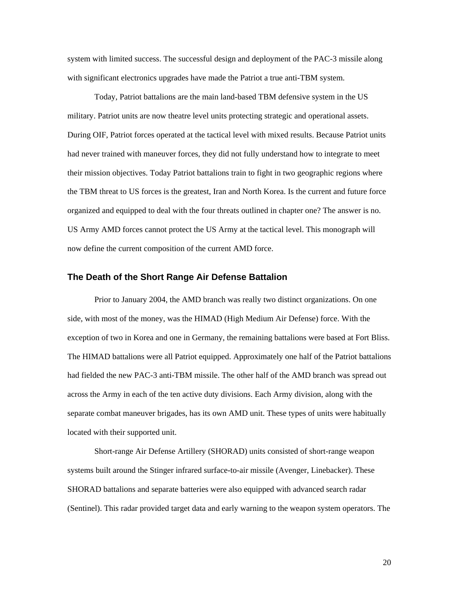<span id="page-24-0"></span>system with limited success. The successful design and deployment of the PAC-3 missile along with significant electronics upgrades have made the Patriot a true anti-TBM system.

Today, Patriot battalions are the main land-based TBM defensive system in the US military. Patriot units are now theatre level units protecting strategic and operational assets. During OIF, Patriot forces operated at the tactical level with mixed results. Because Patriot units had never trained with maneuver forces, they did not fully understand how to integrate to meet their mission objectives. Today Patriot battalions train to fight in two geographic regions where the TBM threat to US forces is the greatest, Iran and North Korea. Is the current and future force organized and equipped to deal with the four threats outlined in chapter one? The answer is no. US Army AMD forces cannot protect the US Army at the tactical level. This monograph will now define the current composition of the current AMD force.

#### **The Death of the Short Range Air Defense Battalion**

Prior to January 2004, the AMD branch was really two distinct organizations. On one side, with most of the money, was the HIMAD (High Medium Air Defense) force. With the exception of two in Korea and one in Germany, the remaining battalions were based at Fort Bliss. The HIMAD battalions were all Patriot equipped. Approximately one half of the Patriot battalions had fielded the new PAC-3 anti-TBM missile. The other half of the AMD branch was spread out across the Army in each of the ten active duty divisions. Each Army division, along with the separate combat maneuver brigades, has its own AMD unit. These types of units were habitually located with their supported unit.

Short-range Air Defense Artillery (SHORAD) units consisted of short-range weapon systems built around the Stinger infrared surface-to-air missile (Avenger, Linebacker). These SHORAD battalions and separate batteries were also equipped with advanced search radar (Sentinel). This radar provided target data and early warning to the weapon system operators. The

20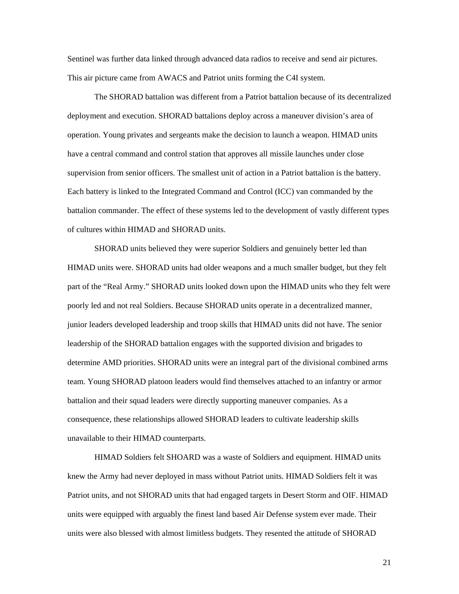Sentinel was further data linked through advanced data radios to receive and send air pictures. This air picture came from AWACS and Patriot units forming the C4I system.

The SHORAD battalion was different from a Patriot battalion because of its decentralized deployment and execution. SHORAD battalions deploy across a maneuver division's area of operation. Young privates and sergeants make the decision to launch a weapon. HIMAD units have a central command and control station that approves all missile launches under close supervision from senior officers. The smallest unit of action in a Patriot battalion is the battery. Each battery is linked to the Integrated Command and Control (ICC) van commanded by the battalion commander. The effect of these systems led to the development of vastly different types of cultures within HIMAD and SHORAD units.

SHORAD units believed they were superior Soldiers and genuinely better led than HIMAD units were. SHORAD units had older weapons and a much smaller budget, but they felt part of the "Real Army." SHORAD units looked down upon the HIMAD units who they felt were poorly led and not real Soldiers. Because SHORAD units operate in a decentralized manner, junior leaders developed leadership and troop skills that HIMAD units did not have. The senior leadership of the SHORAD battalion engages with the supported division and brigades to determine AMD priorities. SHORAD units were an integral part of the divisional combined arms team. Young SHORAD platoon leaders would find themselves attached to an infantry or armor battalion and their squad leaders were directly supporting maneuver companies. As a consequence, these relationships allowed SHORAD leaders to cultivate leadership skills unavailable to their HIMAD counterparts.

HIMAD Soldiers felt SHOARD was a waste of Soldiers and equipment. HIMAD units knew the Army had never deployed in mass without Patriot units. HIMAD Soldiers felt it was Patriot units, and not SHORAD units that had engaged targets in Desert Storm and OIF. HIMAD units were equipped with arguably the finest land based Air Defense system ever made. Their units were also blessed with almost limitless budgets. They resented the attitude of SHORAD

21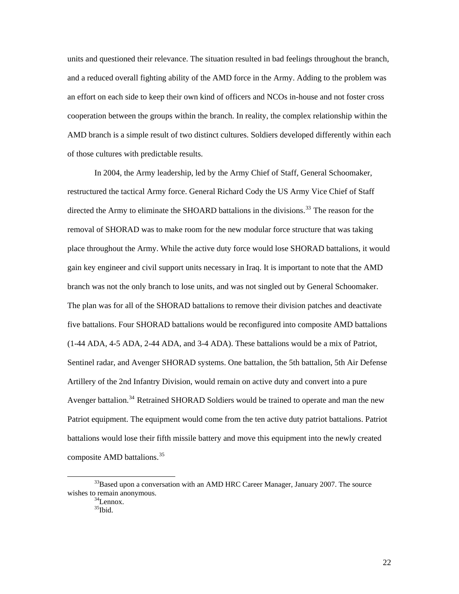units and questioned their relevance. The situation resulted in bad feelings throughout the branch, and a reduced overall fighting ability of the AMD force in the Army. Adding to the problem was an effort on each side to keep their own kind of officers and NCOs in-house and not foster cross cooperation between the groups within the branch. In reality, the complex relationship within the AMD branch is a simple result of two distinct cultures. Soldiers developed differently within each of those cultures with predictable results.

In 2004, the Army leadership, led by the Army Chief of Staff, General Schoomaker, restructured the tactical Army force. General Richard Cody the US Army Vice Chief of Staff directed the Army to eliminate the SHOARD battalions in the divisions.<sup>[33](#page-26-0)</sup> The reason for the removal of SHORAD was to make room for the new modular force structure that was taking place throughout the Army. While the active duty force would lose SHORAD battalions, it would gain key engineer and civil support units necessary in Iraq. It is important to note that the AMD branch was not the only branch to lose units, and was not singled out by General Schoomaker. The plan was for all of the SHORAD battalions to remove their division patches and deactivate five battalions. Four SHORAD battalions would be reconfigured into composite AMD battalions (1-44 ADA, 4-5 ADA, 2-44 ADA, and 3-4 ADA). These battalions would be a mix of Patriot, Sentinel radar, and Avenger SHORAD systems. One battalion, the 5th battalion, 5th Air Defense Artillery of the 2nd Infantry Division, would remain on active duty and convert into a pure Avenger battalion.<sup>[34](#page-26-1)</sup> Retrained SHORAD Soldiers would be trained to operate and man the new Patriot equipment. The equipment would come from the ten active duty patriot battalions. Patriot battalions would lose their fifth missile battery and move this equipment into the newly created composite AMD battalions.<sup>[35](#page-26-2)</sup>

<span id="page-26-2"></span><span id="page-26-1"></span><span id="page-26-0"></span> $33$ Based upon a conversation with an AMD HRC Career Manager, January 2007. The source wishes to remain anonymous.<br> $34$ Lennox.

<sup>35</sup>Ibid.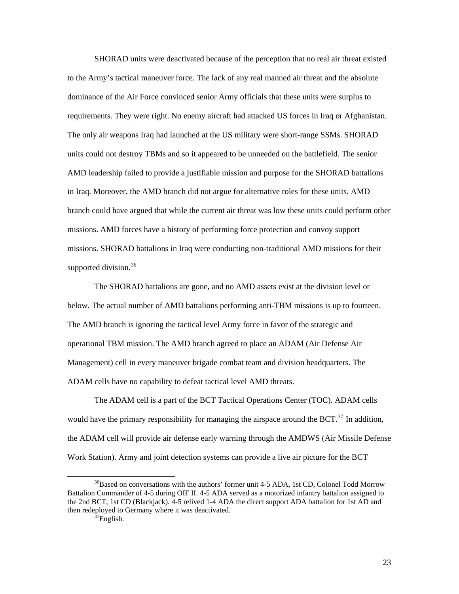SHORAD units were deactivated because of the perception that no real air threat existed to the Army's tactical maneuver force. The lack of any real manned air threat and the absolute dominance of the Air Force convinced senior Army officials that these units were surplus to requirements. They were right. No enemy aircraft had attacked US forces in Iraq or Afghanistan. The only air weapons Iraq had launched at the US military were short-range SSMs. SHORAD units could not destroy TBMs and so it appeared to be unneeded on the battlefield. The senior AMD leadership failed to provide a justifiable mission and purpose for the SHORAD battalions in Iraq. Moreover, the AMD branch did not argue for alternative roles for these units. AMD branch could have argued that while the current air threat was low these units could perform other missions. AMD forces have a history of performing force protection and convoy support missions. SHORAD battalions in Iraq were conducting non-traditional AMD missions for their supported division. $36$ 

The SHORAD battalions are gone, and no AMD assets exist at the division level or below. The actual number of AMD battalions performing anti-TBM missions is up to fourteen. The AMD branch is ignoring the tactical level Army force in favor of the strategic and operational TBM mission. The AMD branch agreed to place an ADAM (Air Defense Air Management) cell in every maneuver brigade combat team and division headquarters. The ADAM cells have no capability to defeat tactical level AMD threats.

The ADAM cell is a part of the BCT Tactical Operations Center (TOC). ADAM cells would have the primary responsibility for managing the airspace around the BCT. $^{37}$  $^{37}$  $^{37}$  In addition, the ADAM cell will provide air defense early warning through the AMDWS (Air Missile Defense Work Station). Army and joint detection systems can provide a live air picture for the BCT

<span id="page-27-1"></span><span id="page-27-0"></span><sup>&</sup>lt;sup>36</sup>Based on conversations with the authors' former unit 4-5 ADA, 1st CD, Colonel Todd Morrow Battalion Commander of 4-5 during OIF II. 4-5 ADA served as a motorized infantry battalion assigned to the 2nd BCT, 1st CD (Blackjack). 4-5 relived 1-4 ADA the direct support ADA battalion for 1st AD and then redeployed to Germany where it was deactivated.  $\frac{37}{27}$ English.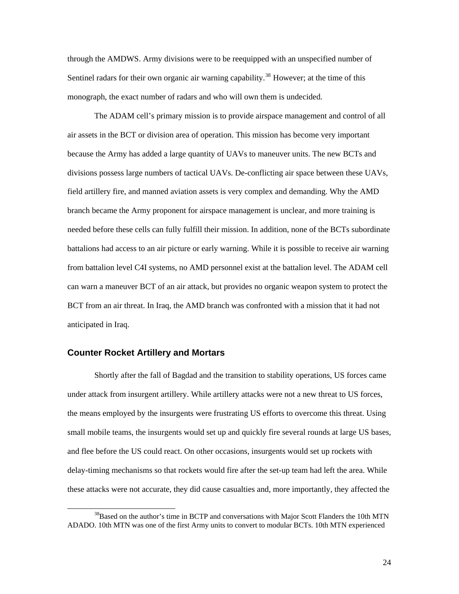<span id="page-28-0"></span>through the AMDWS. Army divisions were to be reequipped with an unspecified number of Sentinel radars for their own organic air warning capability.<sup>[38](#page-28-1)</sup> However; at the time of this monograph, the exact number of radars and who will own them is undecided.

The ADAM cell's primary mission is to provide airspace management and control of all air assets in the BCT or division area of operation. This mission has become very important because the Army has added a large quantity of UAVs to maneuver units. The new BCTs and divisions possess large numbers of tactical UAVs. De-conflicting air space between these UAVs, field artillery fire, and manned aviation assets is very complex and demanding. Why the AMD branch became the Army proponent for airspace management is unclear, and more training is needed before these cells can fully fulfill their mission. In addition, none of the BCTs subordinate battalions had access to an air picture or early warning. While it is possible to receive air warning from battalion level C4I systems, no AMD personnel exist at the battalion level. The ADAM cell can warn a maneuver BCT of an air attack, but provides no organic weapon system to protect the BCT from an air threat. In Iraq, the AMD branch was confronted with a mission that it had not anticipated in Iraq.

#### **Counter Rocket Artillery and Mortars**

Shortly after the fall of Bagdad and the transition to stability operations, US forces came under attack from insurgent artillery. While artillery attacks were not a new threat to US forces, the means employed by the insurgents were frustrating US efforts to overcome this threat. Using small mobile teams, the insurgents would set up and quickly fire several rounds at large US bases, and flee before the US could react. On other occasions, insurgents would set up rockets with delay-timing mechanisms so that rockets would fire after the set-up team had left the area. While these attacks were not accurate, they did cause casualties and, more importantly, they affected the

<span id="page-28-1"></span> $38$ Based on the author's time in BCTP and conversations with Major Scott Flanders the 10th MTN ADADO. 10th MTN was one of the first Army units to convert to modular BCTs. 10th MTN experienced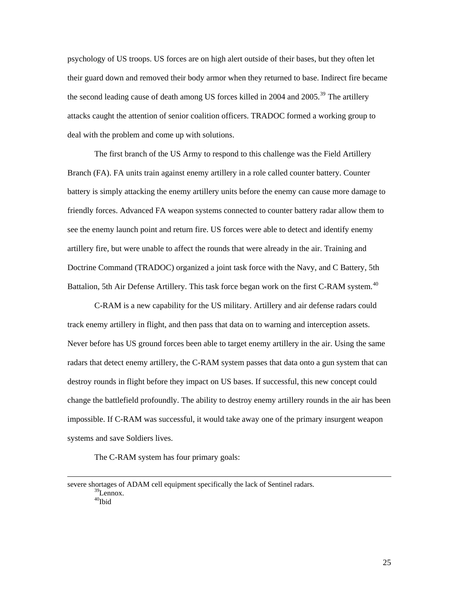psychology of US troops. US forces are on high alert outside of their bases, but they often let their guard down and removed their body armor when they returned to base. Indirect fire became the second leading cause of death among US forces killed in 2004 and  $2005$ <sup>[39](#page-29-0)</sup>. The artillery attacks caught the attention of senior coalition officers. TRADOC formed a working group to deal with the problem and come up with solutions.

The first branch of the US Army to respond to this challenge was the Field Artillery Branch (FA). FA units train against enemy artillery in a role called counter battery. Counter battery is simply attacking the enemy artillery units before the enemy can cause more damage to friendly forces. Advanced FA weapon systems connected to counter battery radar allow them to see the enemy launch point and return fire. US forces were able to detect and identify enemy artillery fire, but were unable to affect the rounds that were already in the air. Training and Doctrine Command (TRADOC) organized a joint task force with the Navy, and C Battery, 5th Battalion, 5th Air Defense Artillery. This task force began work on the first C-RAM system.<sup>[40](#page-29-1)</sup>

C-RAM is a new capability for the US military. Artillery and air defense radars could track enemy artillery in flight, and then pass that data on to warning and interception assets. Never before has US ground forces been able to target enemy artillery in the air. Using the same radars that detect enemy artillery, the C-RAM system passes that data onto a gun system that can destroy rounds in flight before they impact on US bases. If successful, this new concept could change the battlefield profoundly. The ability to destroy enemy artillery rounds in the air has been impossible. If C-RAM was successful, it would take away one of the primary insurgent weapon systems and save Soldiers lives.

The C-RAM system has four primary goals:

 $\overline{a}$ 

<span id="page-29-1"></span><span id="page-29-0"></span>severe shortages of ADAM cell equipment specifically the lack of Sentinel radars.  $39$ Lennox.  $40$ Ibid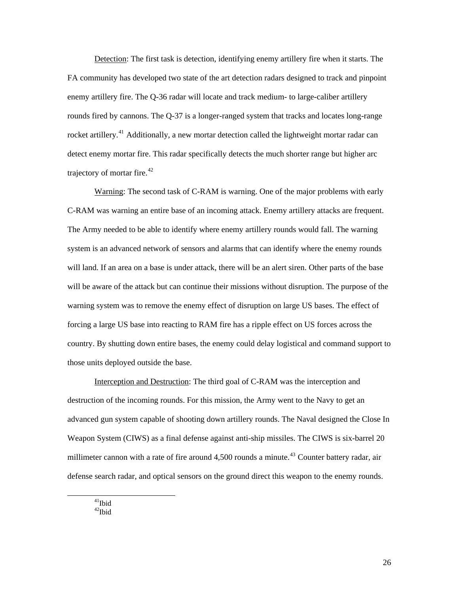Detection: The first task is detection, identifying enemy artillery fire when it starts. The FA community has developed two state of the art detection radars designed to track and pinpoint enemy artillery fire. The Q-36 radar will locate and track medium- to large-caliber artillery rounds fired by cannons. The Q-37 is a longer-ranged system that tracks and locates long-range rocket artillery.<sup>[41](#page-30-0)</sup> Additionally, a new mortar detection called the lightweight mortar radar can detect enemy mortar fire. This radar specifically detects the much shorter range but higher arc trajectory of mortar fire. $42$ 

Warning: The second task of C-RAM is warning. One of the major problems with early C-RAM was warning an entire base of an incoming attack. Enemy artillery attacks are frequent. The Army needed to be able to identify where enemy artillery rounds would fall. The warning system is an advanced network of sensors and alarms that can identify where the enemy rounds will land. If an area on a base is under attack, there will be an alert siren. Other parts of the base will be aware of the attack but can continue their missions without disruption. The purpose of the warning system was to remove the enemy effect of disruption on large US bases. The effect of forcing a large US base into reacting to RAM fire has a ripple effect on US forces across the country. By shutting down entire bases, the enemy could delay logistical and command support to those units deployed outside the base.

Interception and Destruction: The third goal of C-RAM was the interception and destruction of the incoming rounds. For this mission, the Army went to the Navy to get an advanced gun system capable of shooting down artillery rounds. The Naval designed the Close In Weapon System (CIWS) as a final defense against anti-ship missiles. The CIWS is six-barrel 20 millimeter cannon with a rate of fire around  $4,500$  rounds a minute.<sup>[43](#page-30-0)</sup> Counter battery radar, air defense search radar, and optical sensors on the ground direct this weapon to the enemy rounds.

<span id="page-30-1"></span><span id="page-30-0"></span> $41$ Ibid  $42$ Ibid

26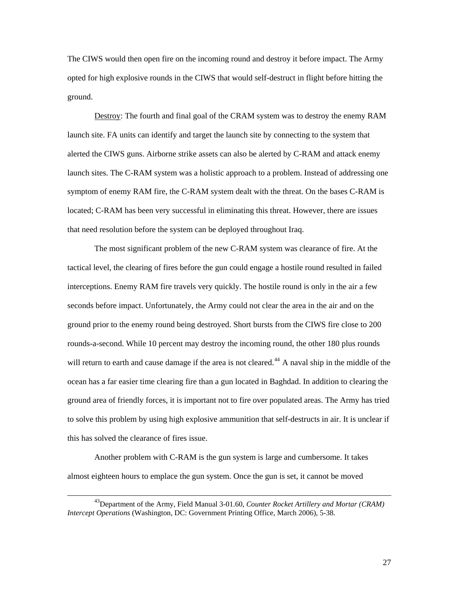The CIWS would then open fire on the incoming round and destroy it before impact. The Army opted for high explosive rounds in the CIWS that would self-destruct in flight before hitting the ground.

Destroy: The fourth and final goal of the CRAM system was to destroy the enemy RAM launch site. FA units can identify and target the launch site by connecting to the system that alerted the CIWS guns. Airborne strike assets can also be alerted by C-RAM and attack enemy launch sites. The C-RAM system was a holistic approach to a problem. Instead of addressing one symptom of enemy RAM fire, the C-RAM system dealt with the threat. On the bases C-RAM is located; C-RAM has been very successful in eliminating this threat. However, there are issues that need resolution before the system can be deployed throughout Iraq.

The most significant problem of the new C-RAM system was clearance of fire. At the tactical level, the clearing of fires before the gun could engage a hostile round resulted in failed interceptions. Enemy RAM fire travels very quickly. The hostile round is only in the air a few seconds before impact. Unfortunately, the Army could not clear the area in the air and on the ground prior to the enemy round being destroyed. Short bursts from the CIWS fire close to 200 rounds-a-second. While 10 percent may destroy the incoming round, the other 180 plus rounds will return to earth and cause damage if the area is not cleared.<sup>[44](#page-31-0)</sup> A naval ship in the middle of the ocean has a far easier time clearing fire than a gun located in Baghdad. In addition to clearing the ground area of friendly forces, it is important not to fire over populated areas. The Army has tried to solve this problem by using high explosive ammunition that self-destructs in air. It is unclear if this has solved the clearance of fires issue.

<span id="page-31-0"></span>Another problem with C-RAM is the gun system is large and cumbersome. It takes almost eighteen hours to emplace the gun system. Once the gun is set, it cannot be moved

 <sup>43</sup>Department of the Army, Field Manual 3-01.60, *Counter Rocket Artillery and Mortar (CRAM) Intercept Operations* (Washington, DC: Government Printing Office, March 2006), 5-38.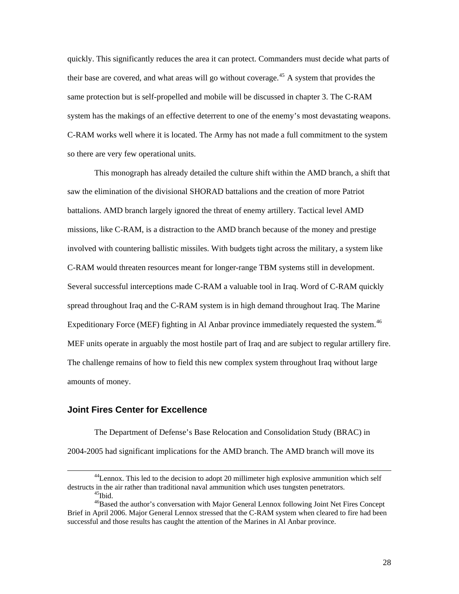<span id="page-32-0"></span>quickly. This significantly reduces the area it can protect. Commanders must decide what parts of their base are covered, and what areas will go without coverage.<sup>[45](#page-32-1)</sup> A system that provides the same protection but is self-propelled and mobile will be discussed in chapter 3. The C-RAM system has the makings of an effective deterrent to one of the enemy's most devastating weapons. C-RAM works well where it is located. The Army has not made a full commitment to the system so there are very few operational units.

This monograph has already detailed the culture shift within the AMD branch, a shift that saw the elimination of the divisional SHORAD battalions and the creation of more Patriot battalions. AMD branch largely ignored the threat of enemy artillery. Tactical level AMD missions, like C-RAM, is a distraction to the AMD branch because of the money and prestige involved with countering ballistic missiles. With budgets tight across the military, a system like C-RAM would threaten resources meant for longer-range TBM systems still in development. Several successful interceptions made C-RAM a valuable tool in Iraq. Word of C-RAM quickly spread throughout Iraq and the C-RAM system is in high demand throughout Iraq. The Marine Expeditionary Force (MEF) fighting in Al Anbar province immediately requested the system.<sup>[46](#page-32-2)</sup> MEF units operate in arguably the most hostile part of Iraq and are subject to regular artillery fire. The challenge remains of how to field this new complex system throughout Iraq without large amounts of money.

#### **Joint Fires Center for Excellence**

The Department of Defense's Base Relocation and Consolidation Study (BRAC) in 2004-2005 had significant implications for the AMD branch. The AMD branch will move its

<sup>&</sup>lt;sup>44</sup>Lennox. This led to the decision to adopt 20 millimeter high explosive ammunition which self destructs in the air rather than traditional naval ammunition which uses tungsten penetrators.<br><sup>45</sup>Ibid.

<span id="page-32-2"></span><span id="page-32-1"></span><sup>&</sup>lt;sup>46</sup>Based the author's conversation with Major General Lennox following Joint Net Fires Concept Brief in April 2006. Major General Lennox stressed that the C-RAM system when cleared to fire had been successful and those results has caught the attention of the Marines in Al Anbar province.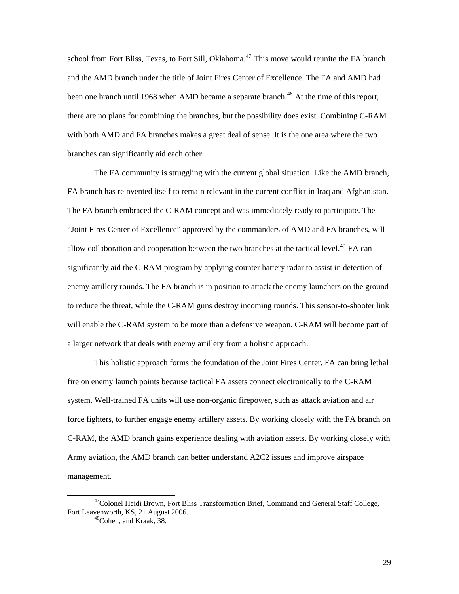school from Fort Bliss, Texas, to Fort Sill, Oklahoma.<sup>[47](#page-33-0)</sup> This move would reunite the FA branch and the AMD branch under the title of Joint Fires Center of Excellence. The FA and AMD had been one branch until 1968 when AMD became a separate branch.<sup>[48](#page-33-1)</sup> At the time of this report, there are no plans for combining the branches, but the possibility does exist. Combining C-RAM with both AMD and FA branches makes a great deal of sense. It is the one area where the two branches can significantly aid each other.

The FA community is struggling with the current global situation. Like the AMD branch, FA branch has reinvented itself to remain relevant in the current conflict in Iraq and Afghanistan. The FA branch embraced the C-RAM concept and was immediately ready to participate. The "Joint Fires Center of Excellence" approved by the commanders of AMD and FA branches, will allow collaboration and cooperation between the two branches at the tactical level.<sup>[49](#page-33-2)</sup> FA can significantly aid the C-RAM program by applying counter battery radar to assist in detection of enemy artillery rounds. The FA branch is in position to attack the enemy launchers on the ground to reduce the threat, while the C-RAM guns destroy incoming rounds. This sensor-to-shooter link will enable the C-RAM system to be more than a defensive weapon. C-RAM will become part of a larger network that deals with enemy artillery from a holistic approach.

This holistic approach forms the foundation of the Joint Fires Center. FA can bring lethal fire on enemy launch points because tactical FA assets connect electronically to the C-RAM system. Well-trained FA units will use non-organic firepower, such as attack aviation and air force fighters, to further engage enemy artillery assets. By working closely with the FA branch on C-RAM, the AMD branch gains experience dealing with aviation assets. By working closely with Army aviation, the AMD branch can better understand A2C2 issues and improve airspace management.

<span id="page-33-2"></span><span id="page-33-1"></span><span id="page-33-0"></span><sup>&</sup>lt;sup>47</sup>Colonel Heidi Brown, Fort Bliss Transformation Brief, Command and General Staff College, Fort Leavenworth, KS, 21 August 2006.<br><sup>48</sup>Cohen, and Kraak, 38.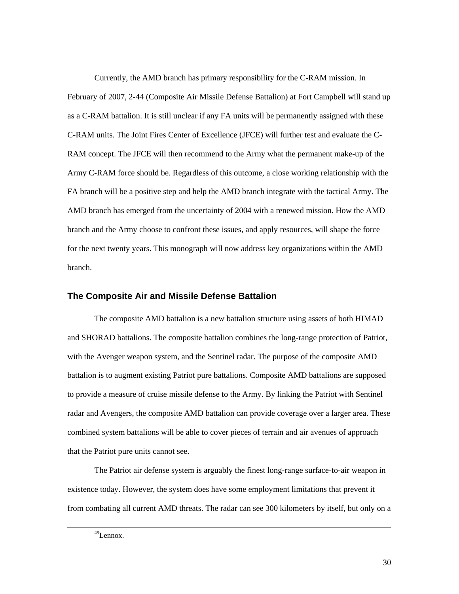<span id="page-34-0"></span>Currently, the AMD branch has primary responsibility for the C-RAM mission. In February of 2007, 2-44 (Composite Air Missile Defense Battalion) at Fort Campbell will stand up as a C-RAM battalion. It is still unclear if any FA units will be permanently assigned with these C-RAM units. The Joint Fires Center of Excellence (JFCE) will further test and evaluate the C-RAM concept. The JFCE will then recommend to the Army what the permanent make-up of the Army C-RAM force should be. Regardless of this outcome, a close working relationship with the FA branch will be a positive step and help the AMD branch integrate with the tactical Army. The AMD branch has emerged from the uncertainty of 2004 with a renewed mission. How the AMD branch and the Army choose to confront these issues, and apply resources, will shape the force for the next twenty years. This monograph will now address key organizations within the AMD branch.

#### **The Composite Air and Missile Defense Battalion**

The composite AMD battalion is a new battalion structure using assets of both HIMAD and SHORAD battalions. The composite battalion combines the long-range protection of Patriot, with the Avenger weapon system, and the Sentinel radar. The purpose of the composite AMD battalion is to augment existing Patriot pure battalions. Composite AMD battalions are supposed to provide a measure of cruise missile defense to the Army. By linking the Patriot with Sentinel radar and Avengers, the composite AMD battalion can provide coverage over a larger area. These combined system battalions will be able to cover pieces of terrain and air avenues of approach that the Patriot pure units cannot see.

The Patriot air defense system is arguably the finest long-range surface-to-air weapon in existence today. However, the system does have some employment limitations that prevent it from combating all current AMD threats. The radar can see 300 kilometers by itself, but only on a

 <sup>49</sup>Lennox.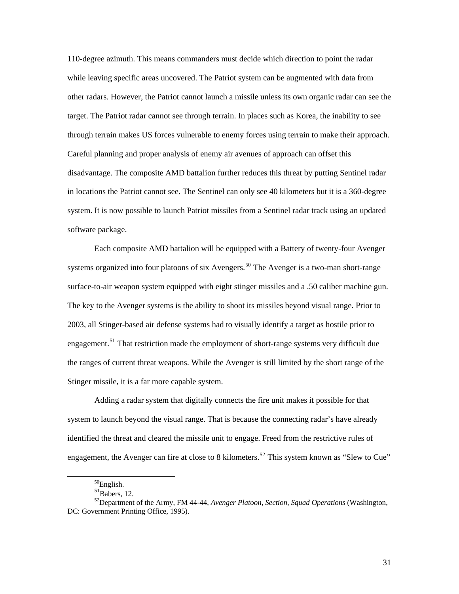110-degree azimuth. This means commanders must decide which direction to point the radar while leaving specific areas uncovered. The Patriot system can be augmented with data from other radars. However, the Patriot cannot launch a missile unless its own organic radar can see the target. The Patriot radar cannot see through terrain. In places such as Korea, the inability to see through terrain makes US forces vulnerable to enemy forces using terrain to make their approach. Careful planning and proper analysis of enemy air avenues of approach can offset this disadvantage. The composite AMD battalion further reduces this threat by putting Sentinel radar in locations the Patriot cannot see. The Sentinel can only see 40 kilometers but it is a 360-degree system. It is now possible to launch Patriot missiles from a Sentinel radar track using an updated software package.

Each composite AMD battalion will be equipped with a Battery of twenty-four Avenger systems organized into four platoons of six Avengers.<sup>[50](#page-35-0)</sup> The Avenger is a two-man short-range surface-to-air weapon system equipped with eight stinger missiles and a .50 caliber machine gun. The key to the Avenger systems is the ability to shoot its missiles beyond visual range. Prior to 2003, all Stinger-based air defense systems had to visually identify a target as hostile prior to engagement.<sup>[51](#page-35-1)</sup> That restriction made the employment of short-range systems very difficult due the ranges of current threat weapons. While the Avenger is still limited by the short range of t he Stinger missile, it is a far more capable system.

Adding a radar system that digitally connects the fire unit makes it possible for that system to launch beyond the visual range. That is because the connecting radar's have already identified the threat and cleared the missile unit to engage. Freed from the restrictive rules of engagement, the Avenger can fire at close to 8 kilometers.<sup>[52](#page-35-2)</sup> This system known as "Slew to Cue"

50English.

<span id="page-35-0"></span> $\overline{a}$ 

 $51$ Babers, 12.

<span id="page-35-2"></span><span id="page-35-1"></span><sup>52</sup>Department of the Army, FM 44-44, *Avenger Platoon, Section, Squad Operations* (Washington, DC: Government Printing Office, 1995).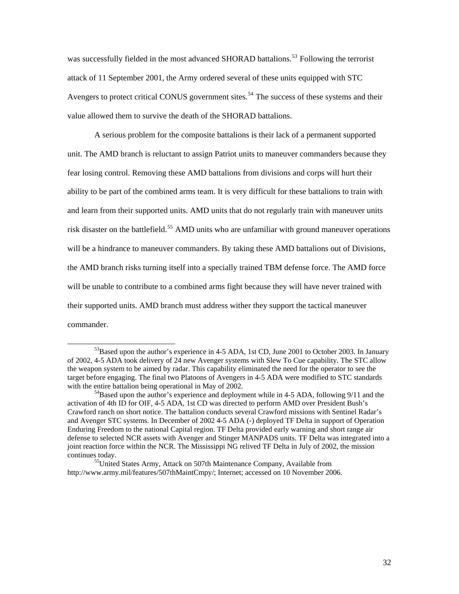was successfully fielded in the most advanced SHORAD battalions.<sup>[53](#page-36-0)</sup> Following the terrorist attack of 11 September 2001, the Army ordered several of these units equipped with STC Avengers to protect critical CONUS government sites.<sup>[54](#page-36-1)</sup> The success of these systems and their value allowed them to survive the death of the SHORAD battalions.

A serious problem for the composite battalions is their lack of a permanent supported unit. The AMD branch is reluctant to assign Patriot units to maneuver commanders because they fear losing control. Removing these AMD battalions from divisions and corps will hurt their ability to be part of the combined arms team. It is very difficult for these battalions to train with and learn from their supported units. AMD units that do not regularly train with maneuver units risk disaster on the battlefield.<sup>[55](#page-36-2)</sup> AMD units who are unfamiliar with ground maneuver operations will be a hindrance to maneuver commanders. By taking these AMD battalions out of Divisions, the AMD branch risks turning itself into a specially trained TBM defense force. The AMD force will be unable to contribute to a combined arms fight because they will have never trained with their supported units. AMD branch must address wither they support the tactical maneuver commander.

<span id="page-36-0"></span><sup>&</sup>lt;sup>53</sup>Based upon the author's experience in 4-5 ADA, 1st CD, June 2001 to October 2003. In January of 2002, 4-5 ADA took delivery of 24 new Avenger systems with Slew To Cue capability. The STC allow the weapon system to be aimed by radar. This capability eliminated the need for the operator to see the target before engaging. The final two Platoons of Avengers in 4-5 ADA were modified to STC standards with the entire battalion being operational in May of 2002.<br><sup>54</sup>Based upon the author's experience and deployment while in 4-5 ADA, following 9/11 and the

<span id="page-36-1"></span>activation of 4th ID for OIF, 4-5 ADA, 1st CD was directed to perform AMD over President Bush's Crawford ranch on short notice. The battalion conducts several Crawford missions with Sentinel Radar's and Avenger STC systems. In December of 2002 4-5 ADA (-) deployed TF Delta in support of Operation Enduring Freedom to the national Capital region. TF Delta provided early warning and short range air defense to selected NCR assets with Avenger and Stinger MANPADS units. TF Delta was integrated into a joint reaction force within the NCR. The Mississippi NG relived TF Delta in July of 2002, the mission

<span id="page-36-2"></span>continues today. 55United States Army, Attack on 507th Maintenance Company*,* Available from http://www.army.mil/features/507thMaintCmpy/; Internet; accessed on 10 November 2006.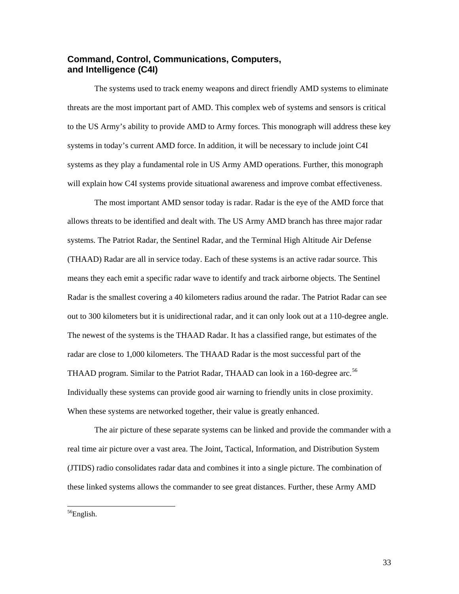### <span id="page-37-0"></span>**Command, Control, Communications, Computers, and Intelligence (C4I)**

The systems used to track enemy weapons and direct friendly AMD systems to eliminate threats are the most important part of AMD. This complex web of systems and sensors is critical to the US Army's ability to provide AMD to Army forces. This monograph will address these key systems in today's current AMD force. In addition, it will be necessary to include joint C4I systems as they play a fundamental role in US Army AMD operations. Further, this monograph will explain how C4I systems provide situational awareness and improve combat effectiveness.

The most important AMD sensor today is radar. Radar is the eye of the AMD force that allows threats to be identified and dealt with. The US Army AMD branch has three major radar systems. The Patriot Radar, the Sentinel Radar, and the Terminal High Altitude Air Defense (THAAD) Radar are all in service today. Each of these systems is an active radar source. This means they each emit a specific radar wave to identify and track airborne objects. The Sentinel Radar is the smallest covering a 40 kilometers radius around the radar. The Patriot Radar can see out to 300 kilometers but it is unidirectional radar, and it can only look out at a 110-degree angle. The newest of the systems is the THAAD Radar. It has a classified range, but estimates of the radar are close to 1,000 kilometers. The THAAD Radar is the most successful part of the THAAD program. Similar to the Patriot Radar, THAAD can look in a 160-degree arc.<sup>[56](#page-37-1)</sup> Individually these systems can provide good air warning to friendly units in close proximity. When these systems are networked together, their value is greatly enhanced.

The air picture of these separate systems can be linked and provide the commander with a real time air picture over a vast area. The Joint, Tactical, Information, and Distribution System (JTIDS) radio consolidates radar data and combines it into a single picture. The combination of these linked systems allows the commander to see great distances. Further, these Army AMD

<span id="page-37-1"></span> $\overline{a}$ <sup>56</sup>English.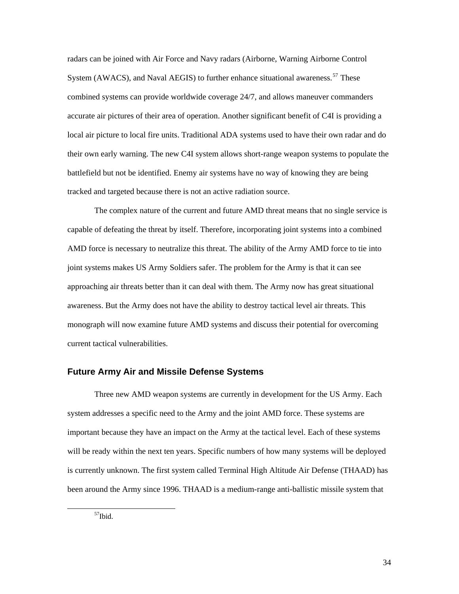<span id="page-38-0"></span>radars can be joined with Air Force and Navy radars (Airborne, Warning Airborne Control System (AWACS), and Naval AEGIS) to further enhance situational awareness.<sup>[57](#page-38-1)</sup> These combined systems can provide worldwide coverage 24/7, and allows maneuver commanders accurate air pictures of their area of operation. Another significant benefit of C4I is providing a local air picture to local fire units. Traditional ADA systems used to have their own radar and do their own early warning. The new C4I system allows short-range weapon systems to populate the battlefield but not be identified. Enemy air systems have no way of knowing they are being tracked and targeted because there is not an active radiation source.

The complex nature of the current and future AMD threat means that no single service is capable of defeating the threat by itself. Therefore, incorporating joint systems into a combined AMD force is necessary to neutralize this threat. The ability of the Army AMD force to tie into joint systems makes US Army Soldiers safer. The problem for the Army is that it can see approaching air threats better than it can deal with them. The Army now has great situational awareness. But the Army does not have the ability to destroy tactical level air threats. This monograph will now examine future AMD systems and discuss their potential for overcoming current tactical vulnerabilities.

#### **Future Army Air and Missile Defense Systems**

Three new AMD weapon systems are currently in development for the US Army. Each system addresses a specific need to the Army and the joint AMD force. These systems are important because they have an impact on the Army at the tactical level. Each of these systems will be ready within the next ten years. Specific numbers of how many systems will be deployed is currently unknown. The first system called Terminal High Altitude Air Defense (THAAD) has been around the Army since 1996. THAAD is a medium-range anti-ballistic missile system that

<span id="page-38-1"></span>57Ibid.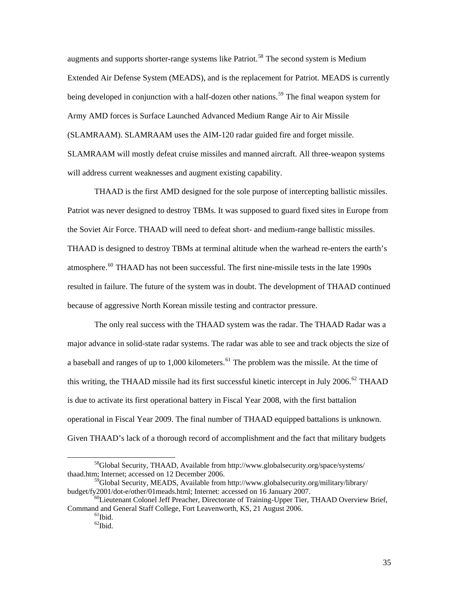augments and supports shorter-range systems like Patriot.<sup>[58](#page-39-0)</sup> The second system is Medium Extended Air Defense System (MEADS), and is the replacement for Patriot. MEADS is currently being developed in conjunction with a half-dozen other nations.<sup>[59](#page-39-1)</sup> The final weapon system for Army AMD forces is Surface Launched Advanced Medium Range Air to Air Missile (SLAMRAAM). SLAMRAAM uses the AIM-120 radar guided fire and forget missile. SLAMRAAM will mostly defeat cruise missiles and manned aircraft. All three-weapon systems will address current weaknesses and augment existing capability.

THAAD is the first AMD designed for the sole purpose of intercepting ballistic missiles. Patriot was never designed to destroy TBMs. It was supposed to guard fixed sites in Europe from the Soviet Air Force. THAAD will need to defeat short- and medium-range ballistic missiles. THAAD is designed to destroy TBMs at terminal altitude when the warhead re-enters the earth's atmosphere.<sup>[60](#page-39-2)</sup> THAAD has not been successful. The first nine-missile tests in the late 1990s resulted in failure. The future of the system was in doubt. The development of THAAD continued because of aggressive North Korean missile testing and contractor pressure.

The only real success with the THAAD system was the radar. The THAAD Radar was a major advance in solid-state radar systems. The radar was able to see and track objects the size of a baseball and ranges of up to 1,000 kilometers.<sup>[61](#page-39-3)</sup> The problem was the missile. At the time of this writing, the THAAD missile had its first successful kinetic intercept in July 2006.<sup>[62](#page-39-4)</sup> THAAD is due to activate its first operational battery in Fiscal Year 2008, with the first battalion operational in Fiscal Year 2009. The final number of THAAD equipped battalions is unkno wn. Given THAAD's lack of a thorough record of accomplishment and the fact that military budge ts

<span id="page-39-0"></span> <sup>58</sup>Global Security, THAAD, Available from http://www.globalsecurity.org/space/systems/ thaad.htm; Internet; accessed on 12 December 2006.

<span id="page-39-1"></span> $^{59}$ Global Security, MEADS, Available from http://www.globalsecurity.org/military/library/<br>budget/fy2001/dot-e/other/01meads.html; Internet: accessed on 16 January 2007.

<span id="page-39-4"></span><span id="page-39-3"></span><span id="page-39-2"></span> $^{60}$ Lieutenant Colonel Jeff Preacher, Directorate of Training-Upper Tier, THAAD Overview Brief, Command and General Staff College, Fort Leavenworth, KS, 21 August 2006.<br><sup>61</sup>Ibid.

 $62$ Ibid.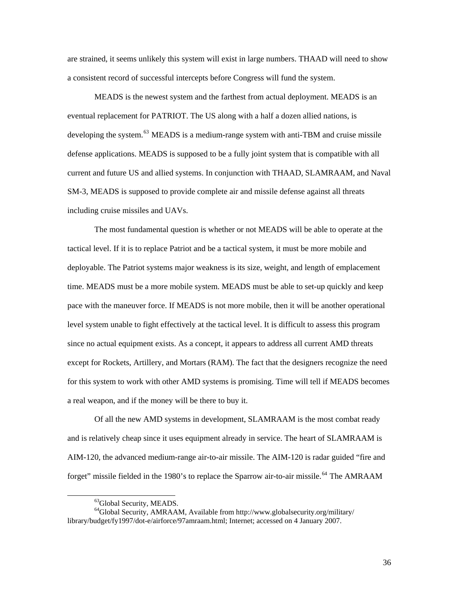are strained, it seems unlikely this system will exist in large numbers. THAAD will need to show a consistent record of successful intercepts before Congress will fund the system.

MEADS is the newest system and the farthest from actual deployment. MEADS is an eventual replacement for PATRIOT. The US along with a half a dozen allied nations, is developing the system.<sup>[63](#page-40-0)</sup> MEADS is a medium-range system with anti-TBM and cruise missile defense applications. MEADS is supposed to be a fully joint system that is compatible with all current and future US and allied systems. In conjunction with THAAD, SLAMRAAM, and Naval SM-3, MEADS is supposed to provide complete air and missile defense against all threats including cruise missiles and UAVs.

The most fundamental question is whether or not MEADS will be able to operate at the tactical level. If it is to replace Patriot and be a tactical system, it must be more mobile and deployable. The Patriot systems major weakness is its size, weight, and length of emplacement time. MEADS must be a more mobile system. MEADS must be able to set-up quickly and keep pace with the maneuver force. If MEADS is not more mobile, then it will be another operational level system unable to fight effectively at the tactical level. It is difficult to assess this program since no actual equipment exists. As a concept, it appears to address all current AMD threats except for Rockets, Artillery, and Mortars (RAM). The fact that the designers recognize the need for this system to work with other AMD systems is promising. Time will tell if MEADS becomes a real weapon, and if the money will be there to buy it.

Of all the new AMD systems in development, SLAMRAAM is the most combat ready and is relatively cheap since it uses equipment already in service. The heart of SLAMRAAM is AIM-120, the advanced medium-range air-to-air missile. The AIM-120 is radar guided "fire and forget" missile fielded in the 1980's to replace the Sparrow air-to-air missile.<sup>[64](#page-40-1)</sup> The AMRAAM

 $\overline{a}$ 

<sup>63</sup>Global Security, MEADS.

<span id="page-40-1"></span><span id="page-40-0"></span><sup>64</sup>Global Security, AMRAAM, Available from http://www.globalsecurity.org/military/ library/budget/fy1997/dot-e/airforce/97amraam.html; Internet; accessed on 4 January 2007.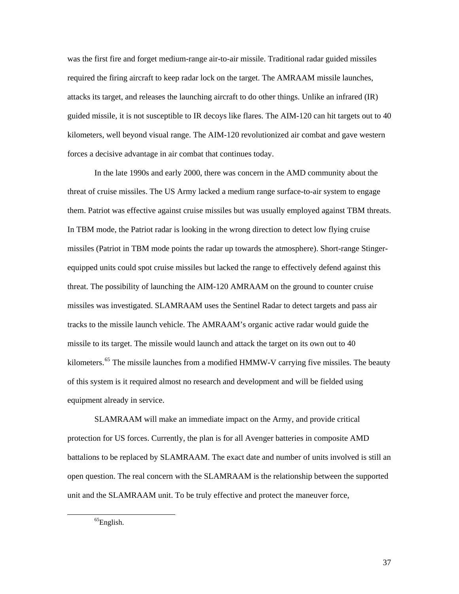was the first fire and forget medium-range air-to-air missile. Traditional radar guided missiles required the firing aircraft to keep radar lock on the target. The AMRAAM missile launches, attacks its target, and releases the launching aircraft to do other things. Unlike an infrared (IR) guided missile, it is not susceptible to IR decoys like flares. The AIM-120 can hit targets out to 40 kilometers, well beyond visual range. The AIM-120 revolutionized air combat and gave western forces a decisive advantage in air combat that continues today.

In the late 1990s and early 2000, there was concern in the AMD community about the threat of cruise missiles. The US Army lacked a medium range surface-to-air system to engage them. Patriot was effective against cruise missiles but was usually employed against TBM threats. In TBM mode, the Patriot radar is looking in the wrong direction to detect low flying cruise missiles (Patriot in TBM mode points the radar up towards the atmosphere). Short-range Stingerequipped units could spot cruise missiles but lacked the range to effectively defend against this threat. The possibility of launching the AIM-120 AMRAAM on the ground to counter cruise missiles was investigated. SLAMRAAM uses the Sentinel Radar to detect targets and pass air tracks to the missile launch vehicle. The AMRAAM's organic active radar would guide the missile to its target. The missile would launch and attack the target on its own out to 40 kilometers.<sup>[65](#page-41-0)</sup> The missile launches from a modified HMMW-V carrying five missiles. The beauty of this system is it required almost no research and development and will be fielded using equipment already in service.

SLAMRAAM will make an immediate impact on the Army, and provide critical protection for US forces. Currently, the plan is for all Avenger batteries in composite AMD battalions to be replaced by SLAMRAAM. The exact date and number of units involved is still an open question. The real concern with the SLAMRAAM is the relationship between the supported unit and the SLAMRAAM unit. To be truly effective and protect the maneuver force,

<span id="page-41-0"></span> ${}^{65}$ English.

37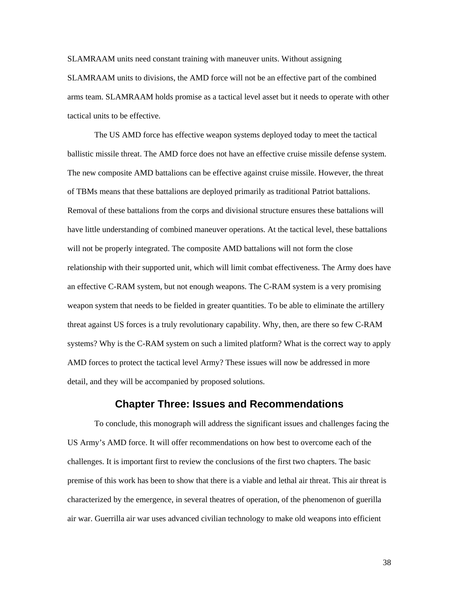<span id="page-42-0"></span>SLAMRAAM units need constant training with maneuver units. Without assigning SLAMRAAM units to divisions, the AMD force will not be an effective part of the combined arms team. SLAMRAAM holds promise as a tactical level asset but it needs to operate with other tactical units to be effective.

The US AMD force has effective weapon systems deployed today to meet the tactical ballistic missile threat. The AMD force does not have an effective cruise missile defense system. The new composite AMD battalions can be effective against cruise missile. However, the threat of TBMs means that these battalions are deployed primarily as traditional Patriot battalions. Removal of these battalions from the corps and divisional structure ensures these battalions will have little understanding of combined maneuver operations. At the tactical level, these battalions will not be properly integrated. The composite AMD battalions will not form the close relationship with their supported unit, which will limit combat effectiveness. The Army does have an effective C-RAM system, but not enough weapons. The C-RAM system is a very promising weapon system that needs to be fielded in greater quantities. To be able to eliminate the artillery threat against US forces is a truly revolutionary capability. Why, then, are there so few C-RAM systems? Why is the C-RAM system on such a limited platform? What is the correct way to apply AMD forces to protect the tactical level Army? These issues will now be addressed in more detail, and they will be accompanied by proposed solutions.

## **Chapter Three: Issues and Recommendations**

To conclude, this monograph will address the significant issues and challenges facing the US Army's AMD force. It will offer recommendations on how best to overcome each of the challenges. It is important first to review the conclusions of the first two chapters. The basic premise of this work has been to show that there is a viable and lethal air threat. This air threat is characterized by the emergence, in several theatres of operation, of the phenomenon of guerilla air war. Guerrilla air war uses advanced civilian technology to make old weapons into efficient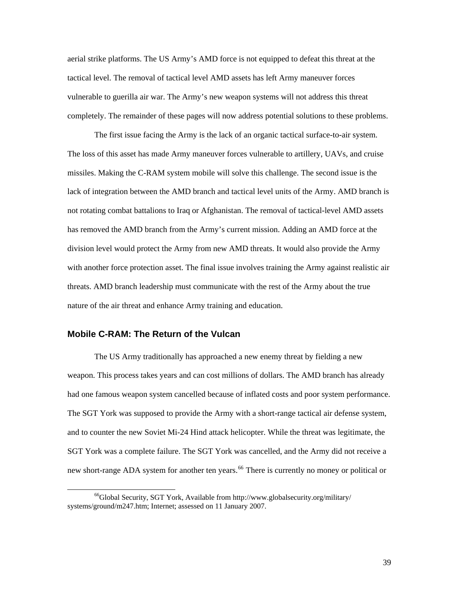<span id="page-43-0"></span>aerial strike platforms. The US Army's AMD force is not equipped to defeat this threat at the tactical level. The removal of tactical level AMD assets has left Army maneuver forces vulnerable to guerilla air war. The Army's new weapon systems will not address this threat completely. The remainder of these pages will now address potential solutions to these problems.

The first issue facing the Army is the lack of an organic tactical surface-to-air system. The loss of this asset has made Army maneuver forces vulnerable to artillery, UAVs, and cruise missiles. Making the C-RAM system mobile will solve this challenge. The second issue is the lack of integration between the AMD branch and tactical level units of the Army. AMD branch is not rotating combat battalions to Iraq or Afghanistan. The removal of tactical-level AMD assets has removed the AMD branch from the Army's current mission. Adding an AMD force at the division level would protect the Army from new AMD threats. It would also provide the Army with another force protection asset. The final issue involves training the Army against realistic air threats. AMD branch leadership must communicate with the rest of the Army about the true nature of the air threat and enhance Army training and education.

#### **Mobile C-RAM: The Return of the Vulcan**

The US Army traditionally has approached a new enemy threat by fielding a new weapon. This process takes years and can cost millions of dollars. The AMD branch has already had one famous weapon system cancelled because of inflated costs and poor system performance. The SGT York was supposed to provide the Army with a short-range tactical air defense system, and to counter the new Soviet Mi-24 Hind attack helicopter. While the threat was legitimate, the SGT York was a complete failure. The SGT York was cancelled, and the Army did not receive a new short-range ADA system for another ten years.<sup>[66](#page-43-1)</sup> There is currently no money or political or

<span id="page-43-1"></span><sup>&</sup>lt;sup>66</sup>Global Security, SGT York, Available from http://www.globalsecurity.org/military/ systems/ground/m247.htm; Internet; assessed on 11 January 2007.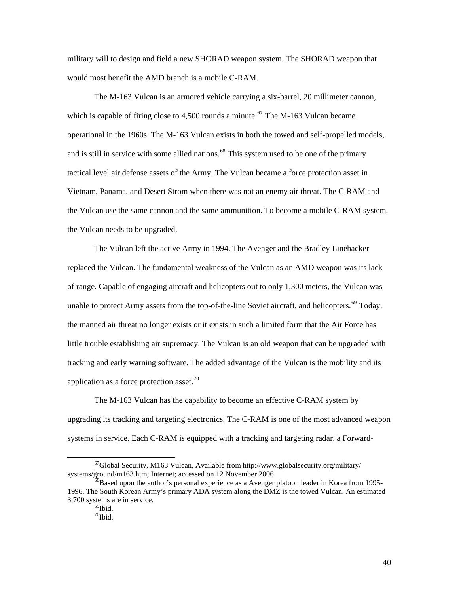military will to design and field a new SHORAD weapon system. The SHORAD weapon that would most benefit the AMD branch is a mobile C-RAM.

The M-163 Vulcan is an armored vehicle carrying a six-barrel, 20 millimeter cannon, which is capable of firing close to 4,500 rounds a minute.<sup>[67](#page-44-0)</sup> The M-163 Vulcan became operational in the 1960s. The M-163 Vulcan exists in both the towed and self-propelled models, and is still in service with some allied nations.<sup>[68](#page-44-1)</sup> This system used to be one of the primary tactical level air defense assets of the Army. The Vulcan became a force protection asset in Vietnam, Panama, and Desert Strom when there was not an enemy air threat. The C-RAM and the Vulcan use the same cannon and the same ammunition. To become a mobile C-RAM system, the Vulcan needs to be upgraded.

The Vulcan left the active Army in 1994. The Avenger and the Bradley Linebacker replaced the Vulcan. The fundamental weakness of the Vulcan as an AMD weapon was its lack of range. Capable of engaging aircraft and helicopters out to only 1,300 meters, the Vulcan was unable to protect Army assets from the top-of-the-line Soviet aircraft, and helicopters.<sup>[69](#page-44-2)</sup> Today, the manned air threat no longer exists or it exists in such a limited form that the Air Force has little trouble establishing air supremacy. The Vulcan is an old weapon that can be upgraded with tracking and early warning software. The added advantage of the Vulcan is the mobility and its application as a force protection asset.<sup>[70](#page-44-3)</sup>

The M-163 Vulcan has the capability to become an effective C-RAM system by upgrading its tracking and targeting electronics. The C-RAM is one of the most advanced weapon systems in service. Each C-RAM is equipped with a tracking and targeting radar, a Forward-

 $\overline{a}$ 

<span id="page-44-0"></span> $^{67}$ Global Security, M163 Vulcan, Available from http://www.globalsecurity.org/military/<br>systems/ground/m163.htm; Internet; accessed on 12 November 2006

<span id="page-44-3"></span><span id="page-44-2"></span><span id="page-44-1"></span> $68$ Based upon the author's personal experience as a Avenger platoon leader in Korea from 1995-1996. The South Korean Army's primary ADA system along the DMZ is the towed Vulcan. An estimated 3,700 systems are in service.<br> $^{69}$ Ibid.

 $70$ Ibid.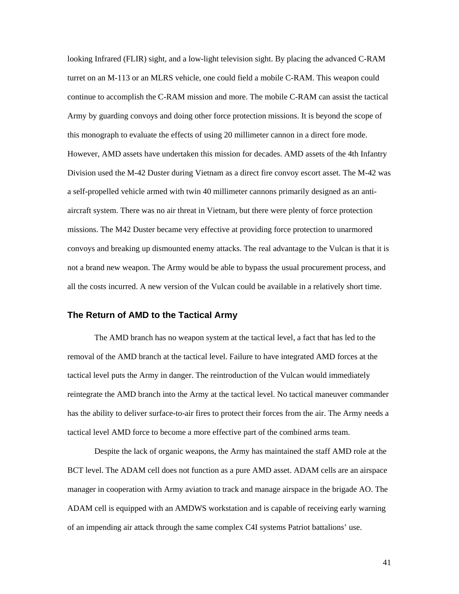<span id="page-45-0"></span>looking Infrared (FLIR) sight, and a low-light television sight. By placing the advanced C-RAM turret on an M-113 or an MLRS vehicle, one could field a mobile C-RAM. This weapon could continue to accomplish the C-RAM mission and more. The mobile C-RAM can assist the tactical Army by guarding convoys and doing other force protection missions. It is beyond the scope of this monograph to evaluate the effects of using 20 millimeter cannon in a direct fore mode. However, AMD assets have undertaken this mission for decades. AMD assets of the 4th Infantry Division used the M-42 Duster during Vietnam as a direct fire convoy escort asset. The M-42 was a self-propelled vehicle armed with twin 40 millimeter cannons primarily designed as an antiaircraft system. There was no air threat in Vietnam, but there were plenty of force protection missions. The M42 Duster became very effective at providing force protection to unarmored convoys and breaking up dismounted enemy attacks. The real advantage to the Vulcan is that it is not a brand new weapon. The Army would be able to bypass the usual procurement process, and all the costs incurred. A new version of the Vulcan could be available in a relatively short time.

#### **The Return of AMD to the Tactical Army**

The AMD branch has no weapon system at the tactical level, a fact that has led to the removal of the AMD branch at the tactical level. Failure to have integrated AMD forces at the tactical level puts the Army in danger. The reintroduction of the Vulcan would immediately reintegrate the AMD branch into the Army at the tactical level. No tactical maneuver commander has the ability to deliver surface-to-air fires to protect their forces from the air. The Army needs a tactical level AMD force to become a more effective part of the combined arms team.

Despite the lack of organic weapons, the Army has maintained the staff AMD role at the BCT level. The ADAM cell does not function as a pure AMD asset. ADAM cells are an airspace manager in cooperation with Army aviation to track and manage airspace in the brigade AO. The ADAM cell is equipped with an AMDWS workstation and is capable of receiving early warning of an impending air attack through the same complex C4I systems Patriot battalions' use.

41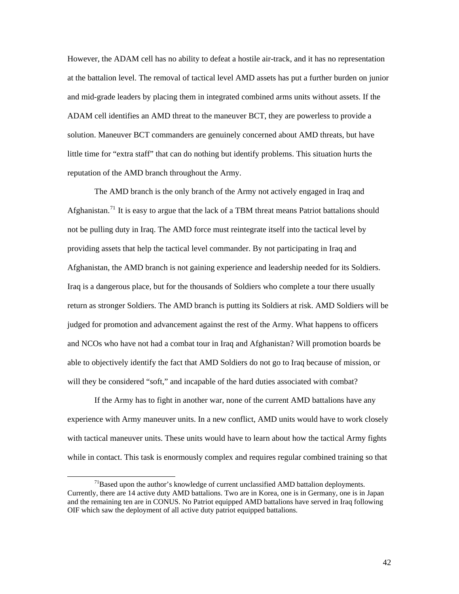However, the ADAM cell has no ability to defeat a hostile air-track, and it has no representation at the battalion level. The removal of tactical level AMD assets has put a further burden on junior and mid-grade leaders by placing them in integrated combined arms units without assets. If the ADAM cell identifies an AMD threat to the maneuver BCT, they are powerless to provide a solution. Maneuver BCT commanders are genuinely concerned about AMD threats, but have little time for "extra staff" that can do nothing but identify problems. This situation hurts the reputation of the AMD branch throughout the Army.

The AMD branch is the only branch of the Army not actively engaged in Iraq and Afghanistan.<sup>[71](#page-46-0)</sup> It is easy to argue that the lack of a TBM threat means Patriot battalions should not be pulling duty in Iraq. The AMD force must reintegrate itself into the tactical level by providing assets that help the tactical level commander. By not participating in Iraq and Afghanistan, the AMD branch is not gaining experience and leadership needed for its Soldiers. Iraq is a dangerous place, but for the thousands of Soldiers who complete a tour there usually return as stronger Soldiers. The AMD branch is putting its Soldiers at risk. AMD Soldiers w ill be judged for promotion and advancement against the rest of the Army. What happens to officers and NCOs who have not had a combat tour in Iraq and Afghanistan? Will promotion boards be able to objectively identify the fact that AMD Soldiers do not go to Iraq because of mission, or will they be considered "soft," and incapable of the hard duties associated with combat?

If the Army has to fight in another war, none of the current AMD battalions have any experience with Army maneuver units. In a new conflict, AMD units would have to work closely with tactical maneuver units. These units would have to learn about how the tactical Army fights while in contact. This task is enormously complex and requires regular combined training so that

 $\overline{a}$ 

<span id="page-46-0"></span> $71$ Based upon the author's knowledge of current unclassified AMD battalion deployments. Currently, there are 14 active duty AMD battalions. Two are in Korea, one is in Germany, one is in Japan and the remaining ten are in CONUS. No Patriot equipped AMD battalions have served in Iraq following OIF which saw the deployment of all active duty patriot equipped battalions.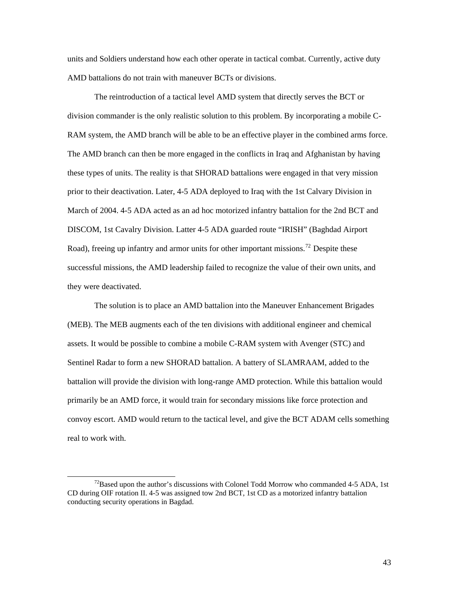units and Soldiers understand how each other operate in tactical combat. Currently, active duty AMD battalions do not train with maneuver BCTs or divisions.

The reintroduction of a tactical level AMD system that directly serves the BCT or division commander is the only realistic solution to this problem. By incorporating a mobile C-RAM system, the AMD branch will be able to be an effective player in the combined arms force. The AMD branch can then be more engaged in the conflicts in Iraq and Afghanistan by having these types of units. The reality is that SHORAD battalions were engaged in that very mission prior to their deactivation. Later, 4-5 ADA deployed to Iraq with the 1st Calvary Division in March of 2004. 4-5 ADA acted as an ad hoc motorized infantry battalion for the 2nd BCT and DISCOM, 1st Cavalry Division. Latter 4-5 ADA guarded route "IRISH" (Baghdad Airport Road), freeing up infantry and armor units for other important missions.<sup>[72](#page-47-0)</sup> Despite these successful missions, the AMD leadership failed to recognize the value of their own units, and they were deactivated.

The solution is to place an AMD battalion into the Maneuver Enhancement Brigades (MEB). The MEB augments each of the ten divisions with additional engineer and chemical assets. It would be possible to combine a mobile C-RAM system with Avenger (STC) and Sentinel Radar to form a new SHORAD battalion. A battery of SLAMRAAM, added to the battalion will provide the division with long-range AMD protection. While this battalion would primarily be an AMD force, it would train for secondary missions like force protection and convoy escort. AMD would return to the tactical level, and give the BCT ADAM cells something real to work with.

<span id="page-47-0"></span> $^{72}$ Based upon the author's discussions with Colonel Todd Morrow who commanded 4-5 ADA, 1st CD during OIF rotation II. 4-5 was assigned tow 2nd BCT, 1st CD as a motorized infantry battalion conducting security operations in Bagdad.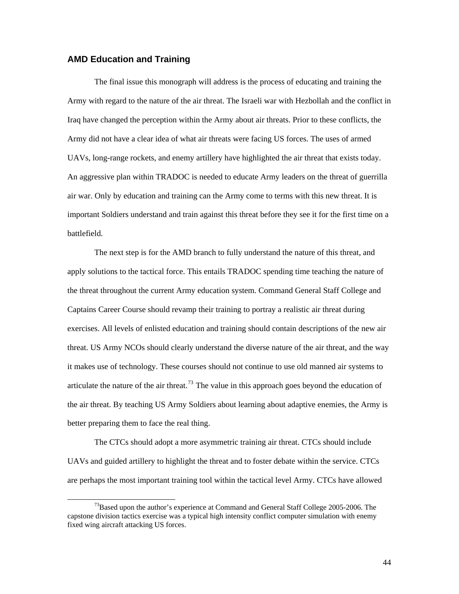#### <span id="page-48-0"></span>**AMD Education and Training**

The final issue this monograph will address is the process of educating and training the Army with regard to the nature of the air threat. The Israeli war with Hezbollah and the conflict in Iraq have changed the perception within the Army about air threats. Prior to these conflicts, the Army did not have a clear idea of what air threats were facing US forces. The uses of armed UAVs, long-range rockets, and enemy artillery have highlighted the air threat that exists today. An aggressive plan within TRADOC is needed to educate Army leaders on the threat of guerrilla air war. Only by education and training can the Army come to terms with this new threat. It is important Soldiers understand and train against this threat before they see it for the first time on a battlefield.

The next step is for the AMD branch to fully understand the nature of this threat, and apply solutions to the tactical force. This entails TRADOC spending time teaching the nature of the threat throughout the current Army education system. Command General Staff College and Captains Career Course should revamp their training to portray a realistic air threat during exercises. All levels of enlisted education and training should contain descriptions of the new air threat. US Army NCOs should clearly understand the diverse nature of the air threat, and the way it makes use of technology. These courses should not continue to use old manned air systems to articulate the nature of the air threat.<sup>[73](#page-48-1)</sup> The value in this approach goes beyond the education of the air threat. By teaching US Army Soldiers about learning about adaptive enemies, the Army is better preparing them to face the real thing.

The CTCs should adopt a more asymmetric training air threat. CTCs should include UAVs and guided artillery to highlight the threat and to foster debate within the service. CTCs are perhaps the most important training tool within the tactical level Army. CTCs have allowed

<span id="page-48-1"></span> $^{73}$ Based upon the author's experience at Command and General Staff College 2005-2006. The capstone division tactics exercise was a typical high intensity conflict computer simulation with enemy fixed wing aircraft attacking US forces.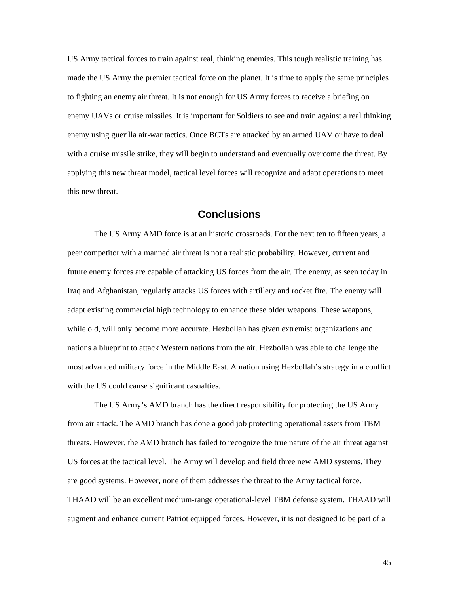<span id="page-49-0"></span>US Army tactical forces to train against real, thinking enemies. This tough realistic training has made the US Army the premier tactical force on the planet. It is time to apply the same principles to fighting an enemy air threat. It is not enough for US Army forces to receive a briefing on enemy UAVs or cruise missiles. It is important for Soldiers to see and train against a real thinking enemy using guerilla air-war tactics. Once BCTs are attacked by an armed UAV or have to deal with a cruise missile strike, they will begin to understand and eventually overcome the threat. By applying this new threat model, tactical level forces will recognize and adapt operations to meet this new threat.

## **Conclusions**

The US Army AMD force is at an historic crossroads. For the next ten to fifteen years, a peer competitor with a manned air threat is not a realistic probability. However, current and future enemy forces are capable of attacking US forces from the air. The enemy, as seen today in Iraq and Afghanistan, regularly attacks US forces with artillery and rocket fire. The enemy will adapt existing commercial high technology to enhance these older weapons. These weapons, while old, will only become more accurate. Hezbollah has given extremist organizations and nations a blueprint to attack Western nations from the air. Hezbollah was able to challenge the most advanced military force in the Middle East. A nation using Hezbollah's strategy in a conflict with the US could cause significant casualties.

The US Army's AMD branch has the direct responsibility for protecting the US Army from air attack. The AMD branch has done a good job protecting operational assets from TBM threats. However, the AMD branch has failed to recognize the true nature of the air threat against US forces at the tactical level. The Army will develop and field three new AMD systems. They are good systems. However, none of them addresses the threat to the Army tactical force. THAAD will be an excellent medium-range operational-level TBM defense system. THAAD will augment and enhance current Patriot equipped forces. However, it is not designed to be part of a

45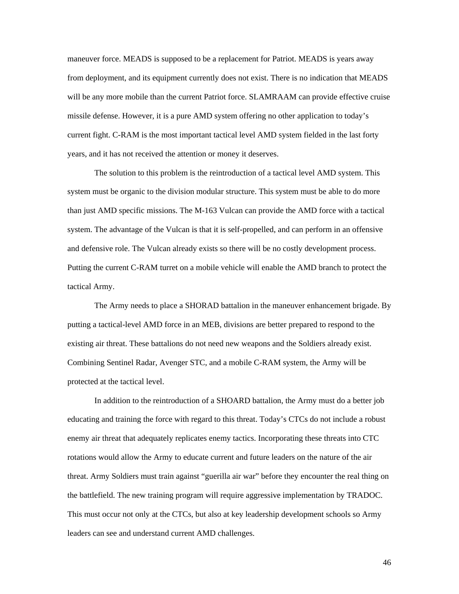maneuver force. MEADS is supposed to be a replacement for Patriot. MEADS is years away from deployment, and its equipment currently does not exist. There is no indication that MEADS will be any more mobile than the current Patriot force. SLAMRAAM can provide effective cruise missile defense. However, it is a pure AMD system offering no other application to today's current fight. C-RAM is the most important tactical level AMD system fielded in the last forty years, and it has not received the attention or money it deserves.

The solution to this problem is the reintroduction of a tactical level AMD system. This system must be organic to the division modular structure. This system must be able to do more than just AMD specific missions. The M-163 Vulcan can provide the AMD force with a tactical system. The advantage of the Vulcan is that it is self-propelled, and can perform in an offensive and defensive role. The Vulcan already exists so there will be no costly development process. Putting the current C-RAM turret on a mobile vehicle will enable the AMD branch to protect the tactical Army.

The Army needs to place a SHORAD battalion in the maneuver enhancement brigade. By putting a tactical-level AMD force in an MEB, divisions are better prepared to respond to the existing air threat. These battalions do not need new weapons and the Soldiers already exist. Combining Sentinel Radar, Avenger STC, and a mobile C-RAM system, the Army will be protected at the tactical level.

In addition to the reintroduction of a SHOARD battalion, the Army must do a better job educating and training the force with regard to this threat. Today's CTCs do not include a robust enemy air threat that adequately replicates enemy tactics. Incorporating these threats into CTC rotations would allow the Army to educate current and future leaders on the nature of the air threat. Army Soldiers must train against "guerilla air war" before they encounter the real thing on the battlefield. The new training program will require aggressive implementation by TRADOC. This must occur not only at the CTCs, but also at key leadership development schools so Army leaders can see and understand current AMD challenges.

46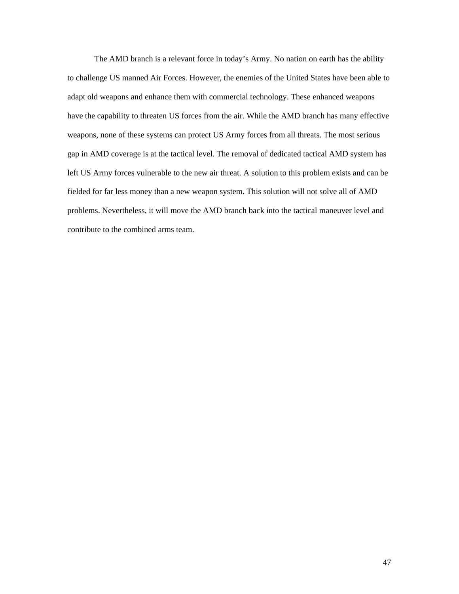The AMD branch is a relevant force in today's Army. No nation on earth has the ability to challenge US manned Air Forces. However, the enemies of the United States have been able to adapt old weapons and enhance them with commercial technology. These enhanced weapons have the capability to threaten US forces from the air. While the AMD branch has many effective weapons, none of these systems can protect US Army forces from all threats. The most serious gap in AMD coverage is at the tactical level. The removal of dedicated tactical AMD system has left US Army forces vulnerable to the new air threat. A solution to this problem exists and can be fielded for far less money than a new weapon system. This solution will not solve all of AMD problems. Nevertheless, it will move the AMD branch back into the tactical maneuver level and contribute to the combined arms team.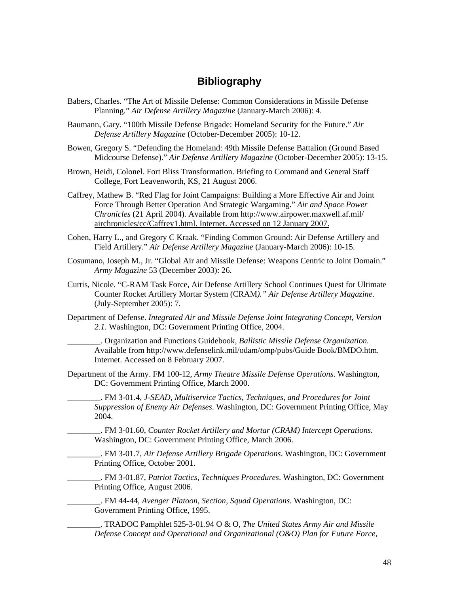## **Bibliography**

- <span id="page-52-0"></span>Babers, Charles. "The Art of Missile Defense: Common Considerations in Missile Defense Planning*.*" *Air Defense Artillery Magazine* (January-March 2006): 4.
- Baumann, Gary. "100th Missile Defense Brigade: Homeland Security for the Future." *Air Defense Artillery Magazine* (October-December 2005): 10-12.
- Bowen, Gregory S. "Defending the Homeland: 49th Missile Defense Battalion (Ground Based Midcourse Defense)." *Air Defense Artillery Magazine* (October-December 2005): 13-15.
- Brown, Heidi, Colonel. Fort Bliss Transformation. Briefing to Command and General Staff College, Fort Leavenworth, KS, 21 August 2006.
- Caffrey, Mathew B. "Red Flag for Joint Campaigns: Building a More Effective Air and Joint Force Through Better Operation And Strategic Wargaming." *Air and Space Power Chronicles* (21 April 2004). Available from http://www.airpower.maxwell.af.mil/ airchronicles/cc/Caffrey1.html. Internet. Accessed on 12 January 2007.
- Cohen, Harry L., and Gregory C Kraak. "Finding Common Ground: Air Defense Artillery and Field Artillery." *Air Defense Artillery Magazine* (January-March 2006): 10-15.
- Cosumano, Joseph M., Jr. "Global Air and Missile Defense: Weapons Centric to Joint Domain." *Army Magazine* 53 (December 2003): 26.
- Curtis, Nicole. "C-RAM Task Force, Air Defense Artillery School Continues Quest for Ultimate Counter Rocket Artillery Mortar System (CRAM*)." Air Defense Artillery Magazine*. (July-September 2005): 7.
- Department of Defense. *Integrated Air and Missile Defense Joint Integrating Concept, Version 2.1.* Washington, DC: Government Printing Office, 2004.
	- \_\_\_\_\_\_\_\_. Organization and Functions Guidebook, *Ballistic Missile Defense Organization.*  Available from http://www.defenselink.mil/odam/omp/pubs/Guide Book/BMDO.htm. Internet. Accessed on 8 February 2007.
- Department of the Army. FM 100-12, *Army Theatre Missile Defense Operations*. Washington, DC: Government Printing Office, March 2000.
	- \_\_\_\_\_\_\_\_. FM 3-01.4, *J-SEAD, Multiservice Tactics, Techniques, and Procedures for Joint Suppression of Enemy Air Defenses*. Washington, DC: Government Printing Office, May 2004.
		- \_\_\_\_\_\_\_\_. FM 3-01.60, *Counter Rocket Artillery and Mortar (CRAM) Intercept Operations.* Washington, DC: Government Printing Office, March 2006.
		- \_\_\_\_\_\_\_\_. FM 3-01.7, *Air Defense Artillery Brigade Operations*. Washington, DC: Government Printing Office, October 2001.
		- \_\_\_\_\_\_\_\_. FM 3-01.87, *Patriot Tactics, Techniques Procedures*. Washington, DC: Government Printing Office, August 2006.
		- \_\_\_\_\_\_\_\_. FM 44-44, *Avenger Platoon, Section, Squad Operations.* Washington, DC: Government Printing Office, 1995.
		- \_\_\_\_\_\_\_\_. TRADOC Pamphlet 525-3-01.94 O & O, *The United States Army Air and Missile Defense Concept and Operational and Organizational (O&O) Plan for Future Force,*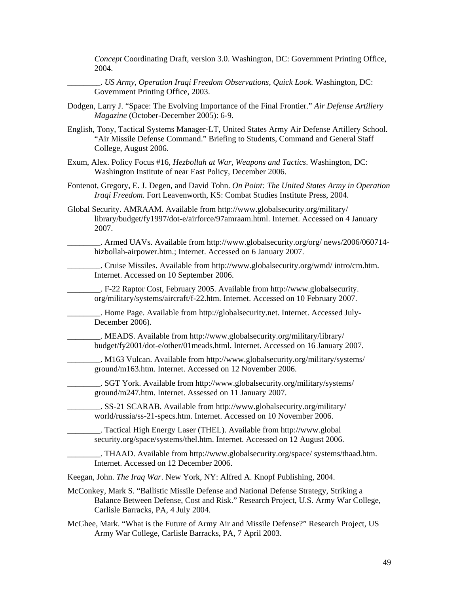*Concept* Coordinating Draft, version 3.0. Washington, DC: Government Printing Office, 2004.

- \_\_\_\_\_\_\_\_. *US Army, Operation Iraqi Freedom Observations, Quick Look.* Washington, DC: Government Printing Office, 2003.
- Dodgen, Larry J. "Space: The Evolving Importance of the Final Frontier." *Air Defense Artillery Magazine* (October-December 2005): 6-9.
- English, Tony, Tactical Systems Manager-LT, United States Army Air Defense Artillery School. "Air Missile Defense Command." Briefing to Students, Command and General Staff College, August 2006.
- Exum, Alex. Policy Focus #16, *Hezbollah at War, Weapons and Tactics*. Washington, DC: Washington Institute of near East Policy, December 2006.
- Fontenot, Gregory, E. J. Degen, and David Tohn. *On Point: The United States Army in Operation Iraqi Freedom.* Fort Leavenworth, KS: Combat Studies Institute Press, 2004.
- Global Security. AMRAAM. Available from http://www.globalsecurity.org/military/ library/budget/fy1997/dot-e/airforce/97amraam.html. Internet. Accessed on 4 January 2007.

\_\_\_\_\_\_\_\_. Armed UAVs. Available from http://www.globalsecurity.org/org/ news/2006/060714 hizbollah-airpower.htm.; Internet. Accessed on 6 January 2007.

\_\_\_\_\_\_\_\_. Cruise Missiles. Available from http://www.globalsecurity.org/wmd/ intro/cm.htm. Internet. Accessed on 10 September 2006.

\_\_\_\_\_\_\_\_. F-22 Raptor Cost, February 2005. Available from http://www.globalsecurity. org/military/systems/aircraft/f-22.htm. Internet. Accessed on 10 February 2007.

\_\_\_\_\_\_\_\_. Home Page. Available from http://globalsecurity.net. Internet. Accessed July-December 2006).

\_\_\_\_\_\_\_\_. MEADS. Available from http://www.globalsecurity.org/military/library/ budget/fy2001/dot-e/other/01meads.html. Internet. Accessed on 16 January 2007.

\_\_\_\_\_\_\_\_. M163 Vulcan. Available from http://www.globalsecurity.org/military/systems/ ground/m163.htm. Internet. Accessed on 12 November 2006.

\_\_\_\_\_\_\_\_. SGT York. Available from http://www.globalsecurity.org/military/systems/ ground/m247.htm. Internet. Assessed on 11 January 2007.

\_\_\_\_\_\_\_\_. SS-21 SCARAB. Available from http://www.globalsecurity.org/military/ world/russia/ss-21-specs.htm. Internet. Accessed on 10 November 2006.

\_\_\_\_\_\_\_\_. Tactical High Energy Laser (THEL). Available from http://www.global security.org/space/systems/thel.htm. Internet. Accessed on 12 August 2006.

\_\_\_\_\_\_\_\_. THAAD. Available from http://www.globalsecurity.org/space/ systems/thaad.htm. Internet. Accessed on 12 December 2006.

Keegan, John. *The Iraq War*. New York, NY: Alfred A. Knopf Publishing, 2004.

McConkey, Mark S. "Ballistic Missile Defense and National Defense Strategy, Striking a Balance Between Defense, Cost and Risk." Research Project, U.S. Army War College, Carlisle Barracks, PA, 4 July 2004.

McGhee, Mark. "What is the Future of Army Air and Missile Defense?" Research Project, US Army War College, Carlisle Barracks, PA, 7 April 2003.